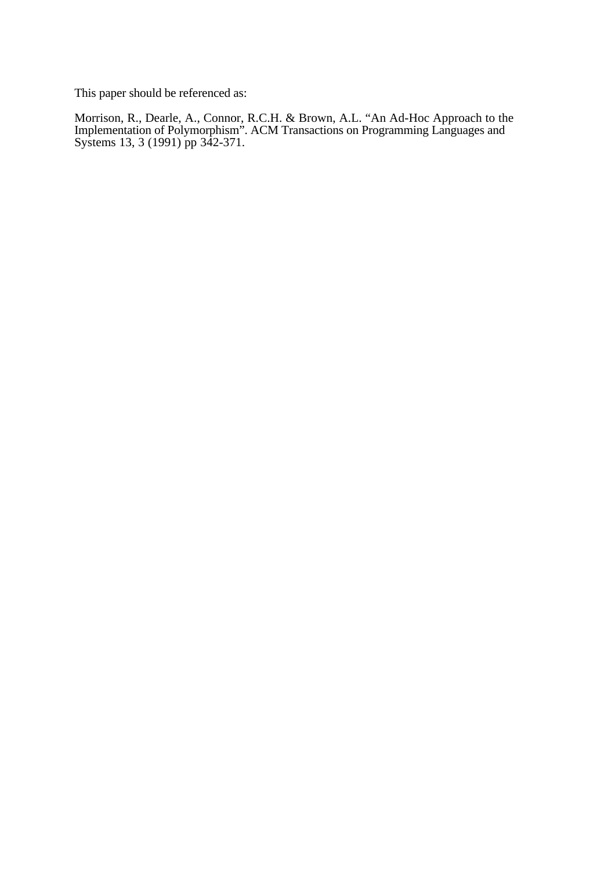This paper should be referenced as:

Morrison, R., Dearle, A., Connor, R.C.H. & Brown, A.L. "An Ad-Hoc Approach to the Implementation of Polymorphism". ACM Transactions on Programming Languages and Systems 13, 3 (1991) pp 342-371.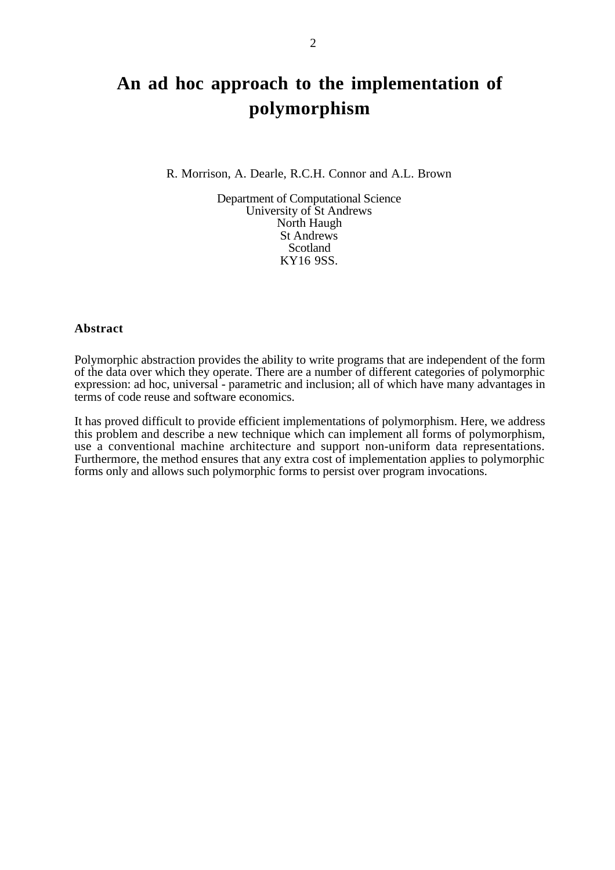# **An ad hoc approach to the implementation of polymorphism**

#### R. Morrison, A. Dearle, R.C.H. Connor and A.L. Brown

Department of Computational Science University of St Andrews North Haugh St Andrews Scotland KY16 9SS.

#### **Abstract**

Polymorphic abstraction provides the ability to write programs that are independent of the form of the data over which they operate. There are a number of different categories of polymorphic expression: ad hoc, universal - parametric and inclusion; all of which have many advantages in terms of code reuse and software economics.

It has proved difficult to provide efficient implementations of polymorphism. Here, we address this problem and describe a new technique which can implement all forms of polymorphism, use a conventional machine architecture and support non-uniform data representations. Furthermore, the method ensures that any extra cost of implementation applies to polymorphic forms only and allows such polymorphic forms to persist over program invocations.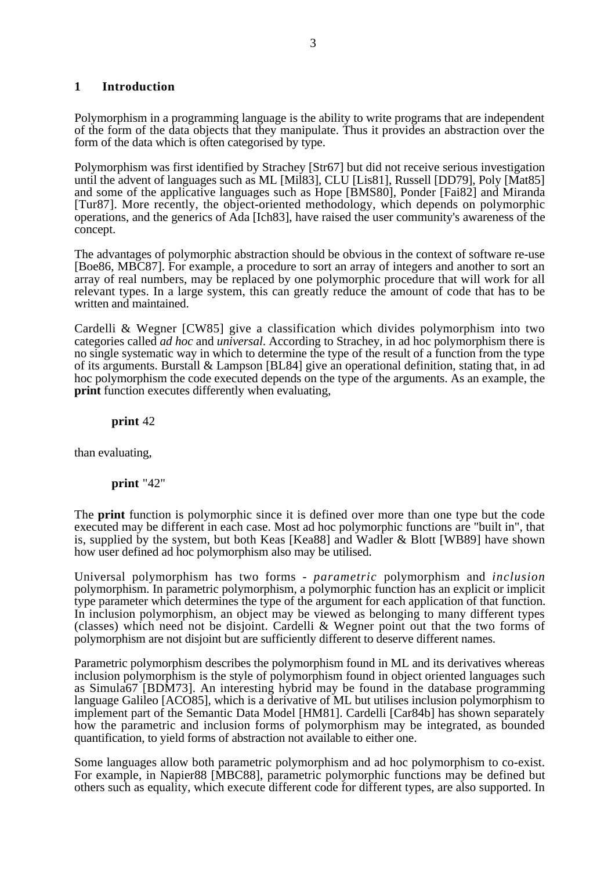# **1 Introduction**

Polymorphism in a programming language is the ability to write programs that are independent of the form of the data objects that they manipulate. Thus it provides an abstraction over the form of the data which is often categorised by type.

Polymorphism was first identified by Strachey [Str67] but did not receive serious investigation until the advent of languages such as ML [Mil83], CLU [Lis81], Russell [DD79], Poly [Mat85] and some of the applicative languages such as Hope [BMS80], Ponder [Fai82] and Miranda [Tur87]. More recently, the object-oriented methodology, which depends on polymorphic operations, and the generics of Ada [Ich83], have raised the user community's awareness of the concept.

The advantages of polymorphic abstraction should be obvious in the context of software re-use [Boe86, MBC87]. For example, a procedure to sort an array of integers and another to sort an array of real numbers, may be replaced by one polymorphic procedure that will work for all relevant types. In a large system, this can greatly reduce the amount of code that has to be written and maintained.

Cardelli & Wegner [CW85] give a classification which divides polymorphism into two categories called *ad hoc* and *universal*. According to Strachey, in ad hoc polymorphism there is no single systematic way in which to determine the type of the result of a function from the type of its arguments. Burstall & Lampson [BL84] give an operational definition, stating that, in ad hoc polymorphism the code executed depends on the type of the arguments. As an example, the **print** function executes differently when evaluating.

## **print** 42

than evaluating,

## **print** "42"

The **print** function is polymorphic since it is defined over more than one type but the code executed may be different in each case. Most ad hoc polymorphic functions are "built in", that is, supplied by the system, but both Keas [Kea88] and Wadler & Blott [WB89] have shown how user defined ad hoc polymorphism also may be utilised.

Universal polymorphism has two forms - *parametric* polymorphism and *inclusion* polymorphism. In parametric polymorphism, a polymorphic function has an explicit or implicit type parameter which determines the type of the argument for each application of that function. In inclusion polymorphism, an object may be viewed as belonging to many different types (classes) which need not be disjoint. Cardelli & Wegner point out that the two forms of polymorphism are not disjoint but are sufficiently different to deserve different names.

Parametric polymorphism describes the polymorphism found in ML and its derivatives whereas inclusion polymorphism is the style of polymorphism found in object oriented languages such as Simula67 [BDM73]. An interesting hybrid may be found in the database programming language Galileo [ACO85], which is a derivative of ML but utilises inclusion polymorphism to implement part of the Semantic Data Model [HM81]. Cardelli [Car84b] has shown separately how the parametric and inclusion forms of polymorphism may be integrated, as bounded quantification, to yield forms of abstraction not available to either one.

Some languages allow both parametric polymorphism and ad hoc polymorphism to co-exist. For example, in Napier88 [MBC88], parametric polymorphic functions may be defined but others such as equality, which execute different code for different types, are also supported. In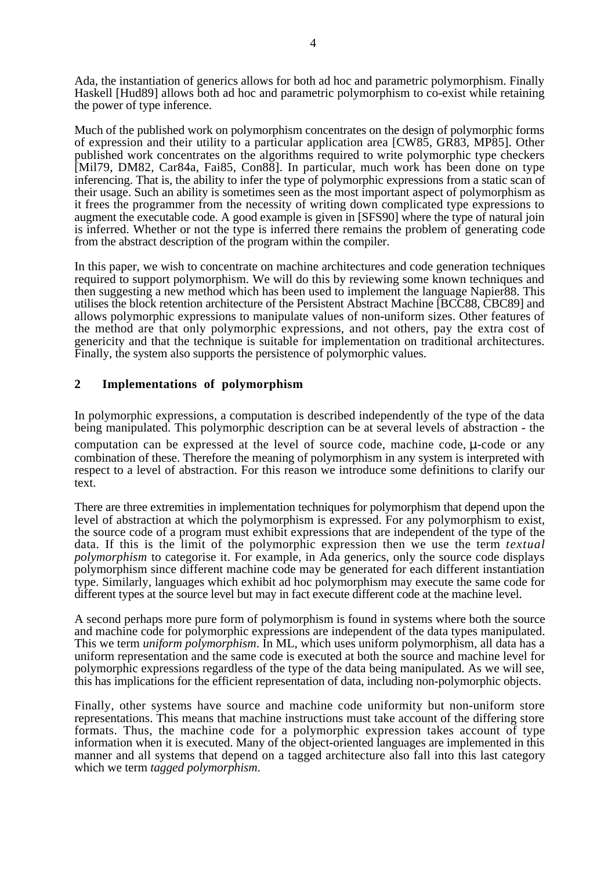Ada, the instantiation of generics allows for both ad hoc and parametric polymorphism. Finally Haskell [Hud89] allows both ad hoc and parametric polymorphism to co-exist while retaining the power of type inference.

Much of the published work on polymorphism concentrates on the design of polymorphic forms of expression and their utility to a particular application area [CW85, GR83, MP85]. Other published work concentrates on the algorithms required to write polymorphic type checkers [Mil79, DM82, Car84a, Fai85, Con88]. In particular, much work has been done on type inferencing. That is, the ability to infer the type of polymorphic expressions from a static scan of their usage. Such an ability is sometimes seen as the most important aspect of polymorphism as it frees the programmer from the necessity of writing down complicated type expressions to augment the executable code. A good example is given in [SFS90] where the type of natural join is inferred. Whether or not the type is inferred there remains the problem of generating code from the abstract description of the program within the compiler.

In this paper, we wish to concentrate on machine architectures and code generation techniques required to support polymorphism. We will do this by reviewing some known techniques and then suggesting a new method which has been used to implement the language Napier88. This utilises the block retention architecture of the Persistent Abstract Machine [BCC88, CBC89] and allows polymorphic expressions to manipulate values of non-uniform sizes. Other features of the method are that only polymorphic expressions, and not others, pay the extra cost of genericity and that the technique is suitable for implementation on traditional architectures. Finally, the system also supports the persistence of polymorphic values.

# **2 Implementations of polymorphism**

In polymorphic expressions, a computation is described independently of the type of the data being manipulated. This polymorphic description can be at several levels of abstraction - the computation can be expressed at the level of source code, machine code,  $\mu$ -code or any combination of these. Therefore the meaning of polymorphism in any system is interpreted with respect to a level of abstraction. For this reason we introduce some definitions to clarify our text.

There are three extremities in implementation techniques for polymorphism that depend upon the level of abstraction at which the polymorphism is expressed. For any polymorphism to exist, the source code of a program must exhibit expressions that are independent of the type of the data. If this is the limit of the polymorphic expression then we use the term *textual polymorphism* to categorise it. For example, in Ada generics, only the source code displays polymorphism since different machine code may be generated for each different instantiation type. Similarly, languages which exhibit ad hoc polymorphism may execute the same code for different types at the source level but may in fact execute different code at the machine level.

A second perhaps more pure form of polymorphism is found in systems where both the source and machine code for polymorphic expressions are independent of the data types manipulated. This we term *uniform polymorphism*. In ML, which uses uniform polymorphism, all data has a uniform representation and the same code is executed at both the source and machine level for polymorphic expressions regardless of the type of the data being manipulated. As we will see, this has implications for the efficient representation of data, including non-polymorphic objects.

Finally, other systems have source and machine code uniformity but non-uniform store representations. This means that machine instructions must take account of the differing store formats. Thus, the machine code for a polymorphic expression takes account of type information when it is executed. Many of the object-oriented languages are implemented in this manner and all systems that depend on a tagged architecture also fall into this last category which we term *tagged polymorphism*.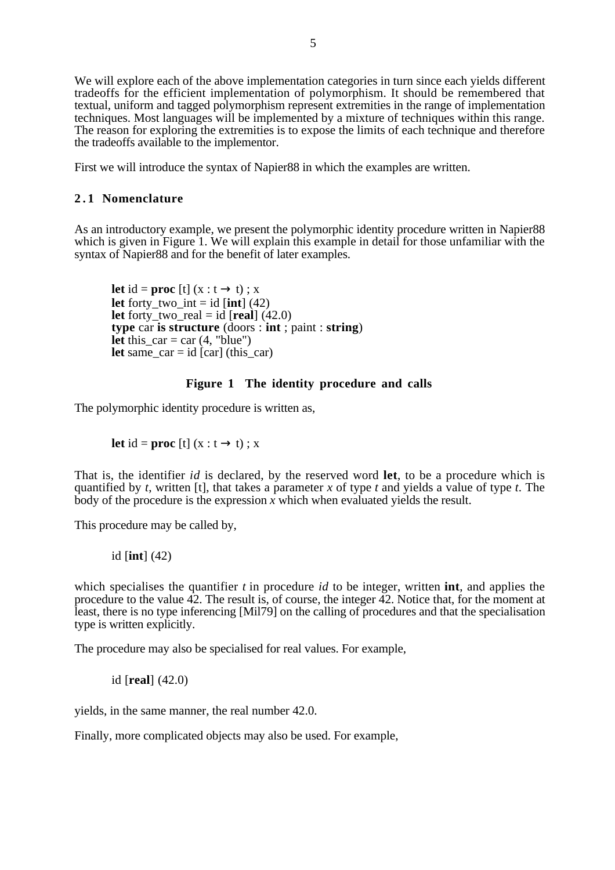We will explore each of the above implementation categories in turn since each yields different tradeoffs for the efficient implementation of polymorphism. It should be remembered that textual, uniform and tagged polymorphism represent extremities in the range of implementation techniques. Most languages will be implemented by a mixture of techniques within this range. The reason for exploring the extremities is to expose the limits of each technique and therefore the tradeoffs available to the implementor.

First we will introduce the syntax of Napier88 in which the examples are written.

# **2 . 1 Nomenclature**

As an introductory example, we present the polymorphic identity procedure written in Napier88 which is given in Figure 1. We will explain this example in detail for those unfamiliar with the syntax of Napier88 and for the benefit of later examples.

**let** id = **proc** [t] (x : t  $\rightarrow$  t) ; x **let** forty\_two\_int = id  $\text{[int]} (42)$ **let** forty two real = id  $[real]$  (42.0) **type** car **is structure** (doors : **int** ; paint : **string**) **let** this\_car = car  $(4, "blue")$ **let** same\_car = id  $\left[ \text{car} \right]$  (this\_car)

# **Figure 1 The identity procedure and calls**

The polymorphic identity procedure is written as,

**let** id = **proc** [t]  $(x : t \rightarrow t)$ ; x

That is, the identifier *id* is declared, by the reserved word **let**, to be a procedure which is quantified by *t*, written [t], that takes a parameter *x* of type *t* and yields a value of type *t*. The body of the procedure is the expression  $\overline{x}$  which when evaluated yields the result.

This procedure may be called by,

id [**int**] (42)

which specialises the quantifier *t* in procedure *id* to be integer, written **int**, and applies the procedure to the value 42. The result is, of course, the integer 42. Notice that, for the moment at least, there is no type inferencing [Mil79] on the calling of procedures and that the specialisation type is written explicitly.

The procedure may also be specialised for real values. For example,

id [**real**] (42.0)

yields, in the same manner, the real number 42.0.

Finally, more complicated objects may also be used. For example,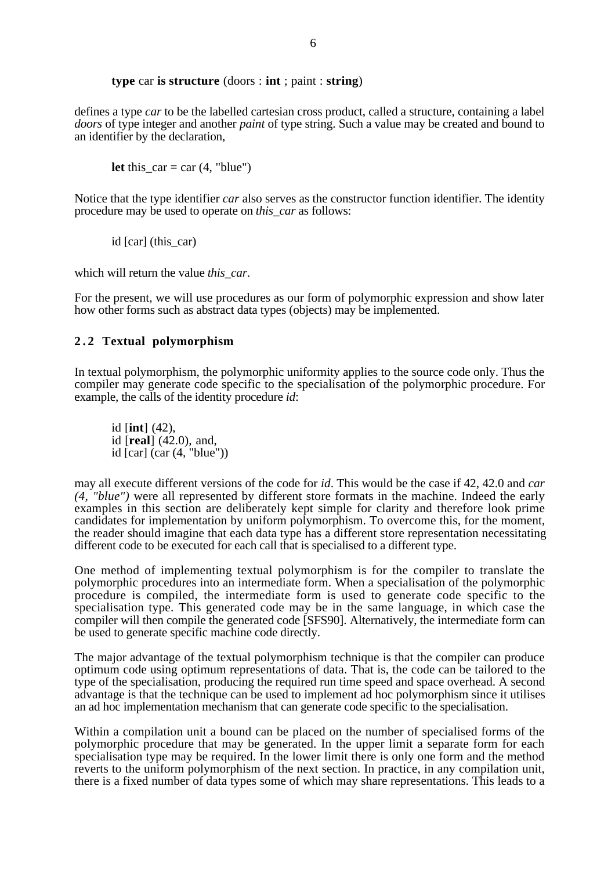#### **type** car **is structure** (doors : **int** ; paint : **string**)

defines a type *car* to be the labelled cartesian cross product, called a structure, containing a label *doors* of type integer and another *paint* of type string. Such a value may be created and bound to an identifier by the declaration,

**let** this  $car = car (4, "blue")$ 

Notice that the type identifier *car* also serves as the constructor function identifier. The identity procedure may be used to operate on *this\_car* as follows:

id [car] (this car)

which will return the value *this car*.

For the present, we will use procedures as our form of polymorphic expression and show later how other forms such as abstract data types (objects) may be implemented.

# **2 . 2 Textual polymorphism**

In textual polymorphism, the polymorphic uniformity applies to the source code only. Thus the compiler may generate code specific to the specialisation of the polymorphic procedure. For example, the calls of the identity procedure *id*:

id [**int**] (42), id [**real**] (42.0), and, id [car] (car (4, "blue"))

may all execute different versions of the code for *id*. This would be the case if 42, 42.0 and *car (4, "blue")* were all represented by different store formats in the machine. Indeed the early examples in this section are deliberately kept simple for clarity and therefore look prime candidates for implementation by uniform polymorphism. To overcome this, for the moment, the reader should imagine that each data type has a different store representation necessitating different code to be executed for each call that is specialised to a different type.

One method of implementing textual polymorphism is for the compiler to translate the polymorphic procedures into an intermediate form. When a specialisation of the polymorphic procedure is compiled, the intermediate form is used to generate code specific to the specialisation type. This generated code may be in the same language, in which case the compiler will then compile the generated code [SFS90]. Alternatively, the intermediate form can be used to generate specific machine code directly.

The major advantage of the textual polymorphism technique is that the compiler can produce optimum code using optimum representations of data. That is, the code can be tailored to the type of the specialisation, producing the required run time speed and space overhead. A second advantage is that the technique can be used to implement ad hoc polymorphism since it utilises an ad hoc implementation mechanism that can generate code specific to the specialisation.

Within a compilation unit a bound can be placed on the number of specialised forms of the polymorphic procedure that may be generated. In the upper limit a separate form for each specialisation type may be required. In the lower limit there is only one form and the method reverts to the uniform polymorphism of the next section. In practice, in any compilation unit, there is a fixed number of data types some of which may share representations. This leads to a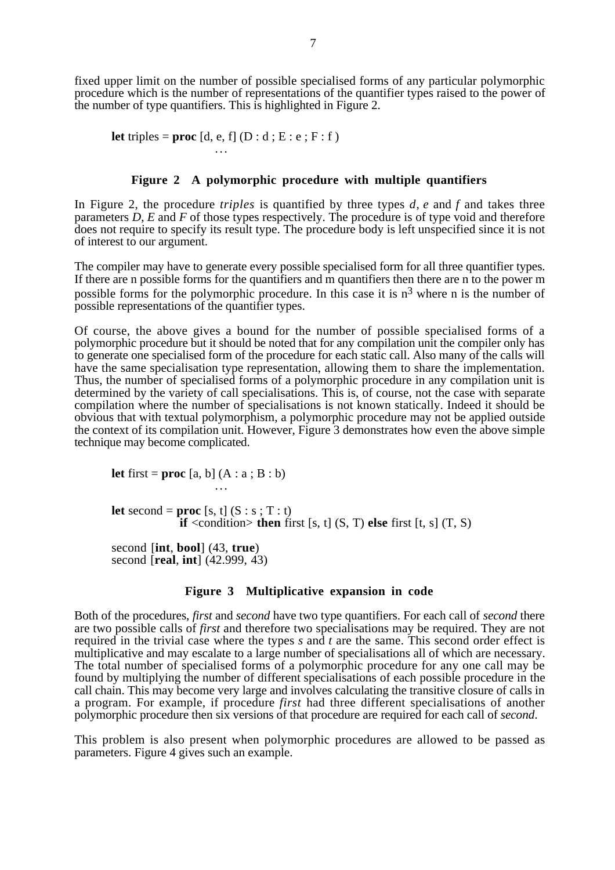fixed upper limit on the number of possible specialised forms of any particular polymorphic procedure which is the number of representations of the quantifier types raised to the power of the number of type quantifiers. This is highlighted in Figure 2.

**let** triples = **proc**  $[d, e, f]$   $(D : d : E : e : F : f)$ 

#### **Figure 2 A polymorphic procedure with multiple quantifiers**

In Figure 2, the procedure *triples* is quantified by three types *d*, *e* and *f* and takes three parameters *D*, *E* and *F* of those types respectively. The procedure is of type void and therefore does not require to specify its result type. The procedure body is left unspecified since it is not of interest to our argument.

The compiler may have to generate every possible specialised form for all three quantifier types. If there are n possible forms for the quantifiers and m quantifiers then there are n to the power m possible forms for the polymorphic procedure. In this case it is  $n<sup>3</sup>$  where n is the number of possible representations of the quantifier types.

Of course, the above gives a bound for the number of possible specialised forms of a polymorphic procedure but it should be noted that for any compilation unit the compiler only has to generate one specialised form of the procedure for each static call. Also many of the calls will have the same specialisation type representation, allowing them to share the implementation. Thus, the number of specialised forms of a polymorphic procedure in any compilation unit is determined by the variety of call specialisations. This is, of course, not the case with separate compilation where the number of specialisations is not known statically. Indeed it should be obvious that with textual polymorphism, a polymorphic procedure may not be applied outside the context of its compilation unit. However, Figure 3 demonstrates how even the above simple technique may become complicated.

**let** first = **proc**  $[a, b]$   $(A : a : B : b)$ 

**let** second = **proc** [s, t]  $(S : s : T : t)$ **if** <condition> **then** first [s, t]  $(S, T)$  **else** first [t, s]  $(T, S)$ 

second [**int**, **bool**] (43, **true**) second [**real**, **int**] (42.999, 43)

#### **Figure 3 Multiplicative expansion in code**

Both of the procedures, *first* and *second* have two type quantifiers. For each call of *second* there are two possible calls of *first* and therefore two specialisations may be required. They are not required in the trivial case where the types *s* and *t* are the same. This second order effect is multiplicative and may escalate to a large number of specialisations all of which are necessary. The total number of specialised forms of a polymorphic procedure for any one call may be found by multiplying the number of different specialisations of each possible procedure in the call chain. This may become very large and involves calculating the transitive closure of calls in a program. For example, if procedure *first* had three different specialisations of another polymorphic procedure then six versions of that procedure are required for each call of *second*.

This problem is also present when polymorphic procedures are allowed to be passed as parameters. Figure 4 gives such an example.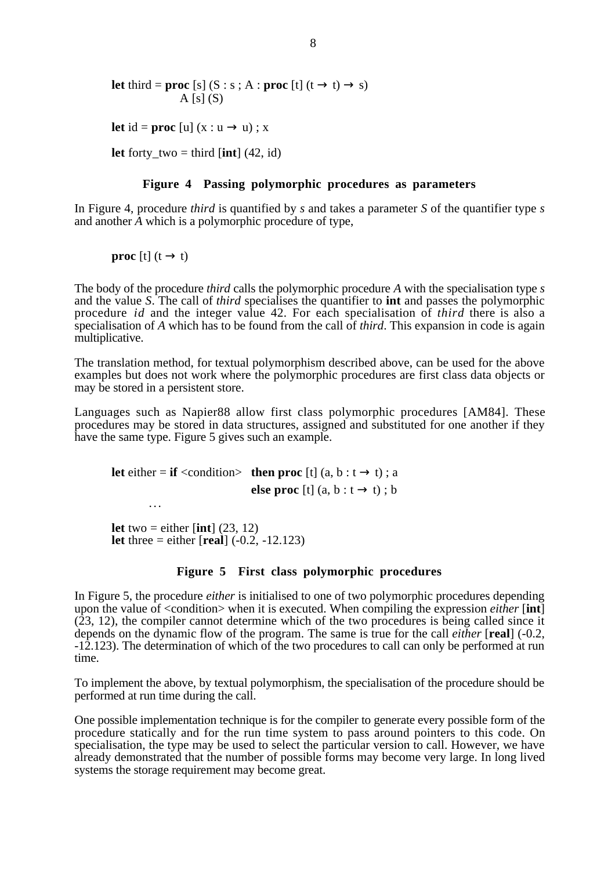**let** third = **proc** [s] (S : s ; A : **proc** [t] (t  $\rightarrow$  t)  $\rightarrow$  s)  $A [s] (S)$ **let** id = **proc** [u]  $(x : u \rightarrow u)$ ; x **let** forty two = third  $[int]$  (42, id)

#### **Figure 4 Passing polymorphic procedures as parameters**

In Figure 4, procedure *third* is quantified by *s* and takes a parameter *S* of the quantifier type *s* and another *A* which is a polymorphic procedure of type,

**proc** [t]  $(t \rightarrow t)$ 

...

The body of the procedure *third* calls the polymorphic procedure *A* with the specialisation type *s* and the value *S*. The call of *third* specialises the quantifier to **int** and passes the polymorphic procedure *id* and the integer value 42. For each specialisation of *third* there is also a specialisation of *A* which has to be found from the call of *third*. This expansion in code is again multiplicative.

The translation method, for textual polymorphism described above, can be used for the above examples but does not work where the polymorphic procedures are first class data objects or may be stored in a persistent store.

Languages such as Napier88 allow first class polymorphic procedures [AM84]. These procedures may be stored in data structures, assigned and substituted for one another if they have the same type. Figure 5 gives such an example.

**let** either = **if** <condition> **then proc** [t] (a, b :  $t \rightarrow t$ ) ; a **else proc** [t]  $(a, b : t \rightarrow t) : b$ 

**let** two = either  $\left[ \text{int} \right]$  (23, 12) **let** three = either  $[real]$   $(-0.2, -12.123)$ 

#### **Figure 5 First class polymorphic procedures**

In Figure 5, the procedure *either* is initialised to one of two polymorphic procedures depending upon the value of <condition> when it is executed. When compiling the expression *either* [**int**]  $(23, 12)$ , the compiler cannot determine which of the two procedures is being called since it depends on the dynamic flow of the program. The same is true for the call *either* [**real**] (-0.2, -12.123). The determination of which of the two procedures to call can only be performed at run time.

To implement the above, by textual polymorphism, the specialisation of the procedure should be performed at run time during the call.

One possible implementation technique is for the compiler to generate every possible form of the procedure statically and for the run time system to pass around pointers to this code. On specialisation, the type may be used to select the particular version to call. However, we have already demonstrated that the number of possible forms may become very large. In long lived systems the storage requirement may become great.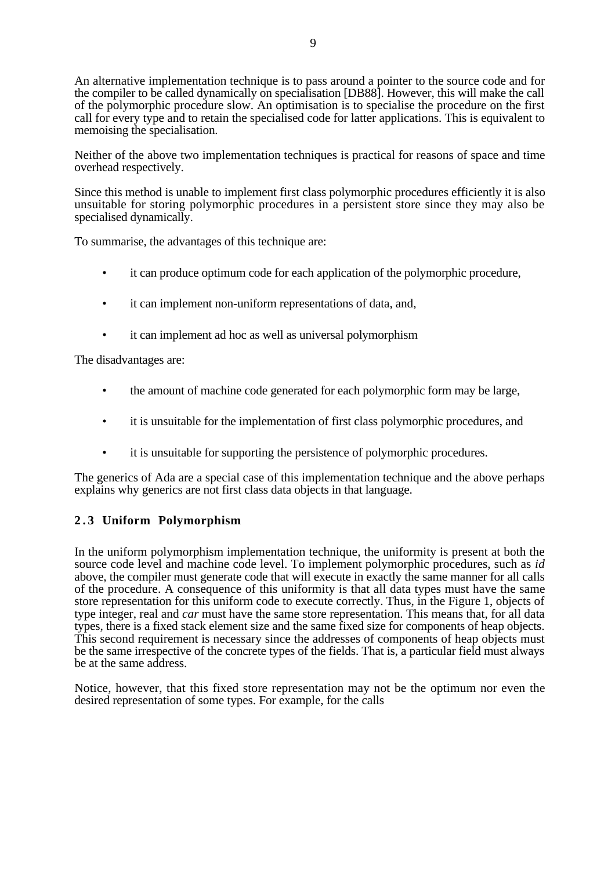An alternative implementation technique is to pass around a pointer to the source code and for the compiler to be called dynamically on specialisation [DB88]. However, this will make the call of the polymorphic procedure slow. An optimisation is to specialise the procedure on the first call for every type and to retain the specialised code for latter applications. This is equivalent to memoising the specialisation.

Neither of the above two implementation techniques is practical for reasons of space and time overhead respectively.

Since this method is unable to implement first class polymorphic procedures efficiently it is also unsuitable for storing polymorphic procedures in a persistent store since they may also be specialised dynamically.

To summarise, the advantages of this technique are:

- it can produce optimum code for each application of the polymorphic procedure,
- it can implement non-uniform representations of data, and,
- it can implement ad hoc as well as universal polymorphism

The disadvantages are:

- the amount of machine code generated for each polymorphic form may be large,
- it is unsuitable for the implementation of first class polymorphic procedures, and
- it is unsuitable for supporting the persistence of polymorphic procedures.

The generics of Ada are a special case of this implementation technique and the above perhaps explains why generics are not first class data objects in that language.

# **2 . 3 Uniform Polymorphism**

In the uniform polymorphism implementation technique, the uniformity is present at both the source code level and machine code level. To implement polymorphic procedures, such as *id* above, the compiler must generate code that will execute in exactly the same manner for all calls of the procedure. A consequence of this uniformity is that all data types must have the same store representation for this uniform code to execute correctly. Thus, in the Figure 1, objects of type integer, real and *car* must have the same store representation. This means that, for all data types, there is a fixed stack element size and the same fixed size for components of heap objects. This second requirement is necessary since the addresses of components of heap objects must be the same irrespective of the concrete types of the fields. That is, a particular field must always be at the same address.

Notice, however, that this fixed store representation may not be the optimum nor even the desired representation of some types. For example, for the calls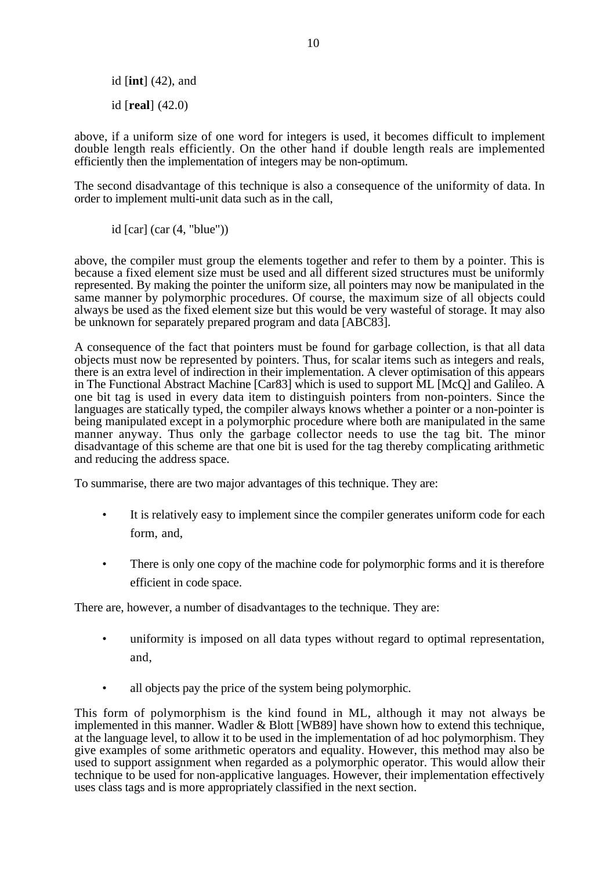id [**int**] (42), and id [**real**] (42.0)

above, if a uniform size of one word for integers is used, it becomes difficult to implement double length reals efficiently. On the other hand if double length reals are implemented efficiently then the implementation of integers may be non-optimum.

The second disadvantage of this technique is also a consequence of the uniformity of data. In order to implement multi-unit data such as in the call,

id  $\lceil \operatorname{car} \rceil$  (car  $(4, \text{ "blue"))$ )

above, the compiler must group the elements together and refer to them by a pointer. This is because a fixed element size must be used and all different sized structures must be uniformly represented. By making the pointer the uniform size, all pointers may now be manipulated in the same manner by polymorphic procedures. Of course, the maximum size of all objects could always be used as the fixed element size but this would be very wasteful of storage. It may also be unknown for separately prepared program and data [ABC83].

A consequence of the fact that pointers must be found for garbage collection, is that all data objects must now be represented by pointers. Thus, for scalar items such as integers and reals, there is an extra level of indirection in their implementation. A clever optimisation of this appears in The Functional Abstract Machine [Car83] which is used to support ML [McQ] and Galileo. A one bit tag is used in every data item to distinguish pointers from non-pointers. Since the languages are statically typed, the compiler always knows whether a pointer or a non-pointer is being manipulated except in a polymorphic procedure where both are manipulated in the same manner anyway. Thus only the garbage collector needs to use the tag bit. The minor disadvantage of this scheme are that one bit is used for the tag thereby complicating arithmetic and reducing the address space.

To summarise, there are two major advantages of this technique. They are:

- It is relatively easy to implement since the compiler generates uniform code for each form, and,
- There is only one copy of the machine code for polymorphic forms and it is therefore efficient in code space.

There are, however, a number of disadvantages to the technique. They are:

- uniformity is imposed on all data types without regard to optimal representation, and,
- all objects pay the price of the system being polymorphic.

This form of polymorphism is the kind found in ML, although it may not always be implemented in this manner. Wadler & Blott [WB89] have shown how to extend this technique, at the language level, to allow it to be used in the implementation of ad hoc polymorphism. They give examples of some arithmetic operators and equality. However, this method may also be used to support assignment when regarded as a polymorphic operator. This would allow their technique to be used for non-applicative languages. However, their implementation effectively uses class tags and is more appropriately classified in the next section.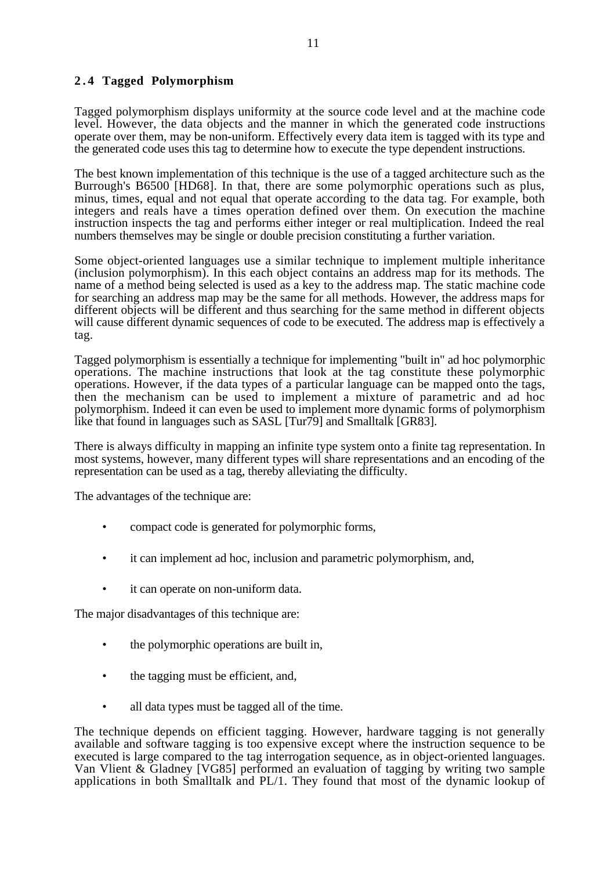# **2 . 4 Tagged Polymorphism**

Tagged polymorphism displays uniformity at the source code level and at the machine code level. However, the data objects and the manner in which the generated code instructions operate over them, may be non-uniform. Effectively every data item is tagged with its type and the generated code uses this tag to determine how to execute the type dependent instructions.

The best known implementation of this technique is the use of a tagged architecture such as the Burrough's B6500 [HD68]. In that, there are some polymorphic operations such as plus, minus, times, equal and not equal that operate according to the data tag. For example, both integers and reals have a times operation defined over them. On execution the machine instruction inspects the tag and performs either integer or real multiplication. Indeed the real numbers themselves may be single or double precision constituting a further variation.

Some object-oriented languages use a similar technique to implement multiple inheritance (inclusion polymorphism). In this each object contains an address map for its methods. The name of a method being selected is used as a key to the address map. The static machine code for searching an address map may be the same for all methods. However, the address maps for different objects will be different and thus searching for the same method in different objects will cause different dynamic sequences of code to be executed. The address map is effectively a tag.

Tagged polymorphism is essentially a technique for implementing "built in" ad hoc polymorphic operations. The machine instructions that look at the tag constitute these polymorphic operations. However, if the data types of a particular language can be mapped onto the tags, then the mechanism can be used to implement a mixture of parametric and ad hoc polymorphism. Indeed it can even be used to implement more dynamic forms of polymorphism like that found in languages such as SASL [Tur79] and Smalltalk [GR83].

There is always difficulty in mapping an infinite type system onto a finite tag representation. In most systems, however, many different types will share representations and an encoding of the representation can be used as a tag, thereby alleviating the difficulty.

The advantages of the technique are:

- compact code is generated for polymorphic forms,
- it can implement ad hoc, inclusion and parametric polymorphism, and,
- it can operate on non-uniform data.

The major disadvantages of this technique are:

- the polymorphic operations are built in,
- the tagging must be efficient, and,
- all data types must be tagged all of the time.

The technique depends on efficient tagging. However, hardware tagging is not generally available and software tagging is too expensive except where the instruction sequence to be executed is large compared to the tag interrogation sequence, as in object-oriented languages. Van Vlient & Gladney [VG85] performed an evaluation of tagging by writing two sample applications in both Smalltalk and PL/1. They found that most of the dynamic lookup of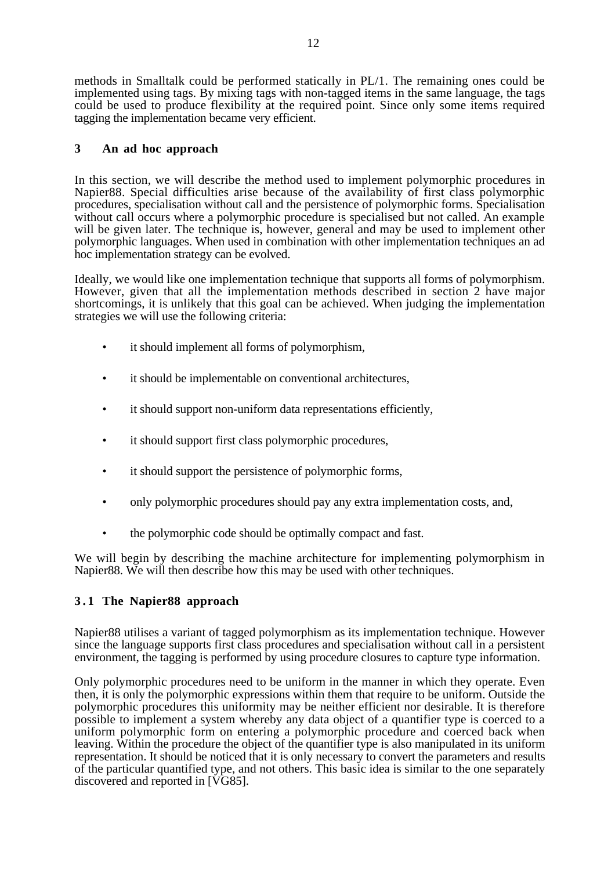methods in Smalltalk could be performed statically in PL/1. The remaining ones could be implemented using tags. By mixing tags with non-tagged items in the same language, the tags could be used to produce flexibility at the required point. Since only some items required tagging the implementation became very efficient.

# **3 An ad hoc approach**

In this section, we will describe the method used to implement polymorphic procedures in Napier88. Special difficulties arise because of the availability of first class polymorphic procedures, specialisation without call and the persistence of polymorphic forms. Specialisation without call occurs where a polymorphic procedure is specialised but not called. An example will be given later. The technique is, however, general and may be used to implement other polymorphic languages. When used in combination with other implementation techniques an ad hoc implementation strategy can be evolved.

Ideally, we would like one implementation technique that supports all forms of polymorphism. However, given that all the implementation methods described in section 2 have major shortcomings, it is unlikely that this goal can be achieved. When judging the implementation strategies we will use the following criteria:

- it should implement all forms of polymorphism,
- it should be implementable on conventional architectures,
- it should support non-uniform data representations efficiently,
- it should support first class polymorphic procedures,
- it should support the persistence of polymorphic forms,
- only polymorphic procedures should pay any extra implementation costs, and,
- the polymorphic code should be optimally compact and fast.

We will begin by describing the machine architecture for implementing polymorphism in Napier88. We will then describe how this may be used with other techniques.

# **3 . 1 The Napier88 approach**

Napier88 utilises a variant of tagged polymorphism as its implementation technique. However since the language supports first class procedures and specialisation without call in a persistent environment, the tagging is performed by using procedure closures to capture type information.

Only polymorphic procedures need to be uniform in the manner in which they operate. Even then, it is only the polymorphic expressions within them that require to be uniform. Outside the polymorphic procedures this uniformity may be neither efficient nor desirable. It is therefore possible to implement a system whereby any data object of a quantifier type is coerced to a uniform polymorphic form on entering a polymorphic procedure and coerced back when leaving. Within the procedure the object of the quantifier type is also manipulated in its uniform representation. It should be noticed that it is only necessary to convert the parameters and results of the particular quantified type, and not others. This basic idea is similar to the one separately discovered and reported in [VG85].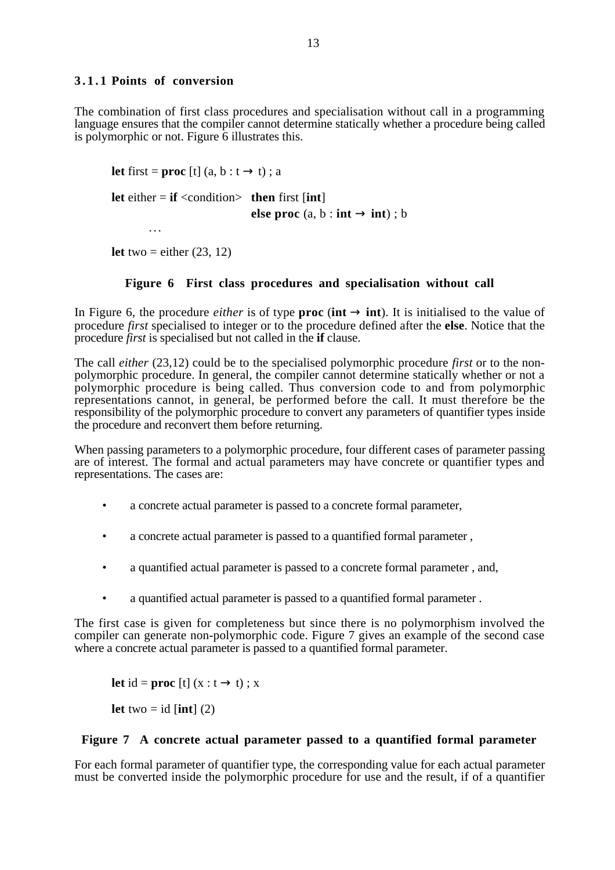# **3.1.1 Points of conversion**

The combination of first class procedures and specialisation without call in a programming language ensures that the compiler cannot determine statically whether a procedure being called is polymorphic or not. Figure 6 illustrates this.

**let** first = **proc** [t]  $(a, b : t \rightarrow t)$ ; a **let** either  $=$  **if**  $\langle$  condition $>$  **then** first [**int**] **else proc** (a, b : **int**  $\rightarrow$  **int**) : b ...

**let** two = either  $(23, 12)$ 

# **Figure 6 First class procedures and specialisation without call**

In Figure 6, the procedure *either* is of type **proc** (**int**  $\rightarrow$  **int**). It is initialised to the value of procedure *first* specialised to integer or to the procedure defined after the **else**. Notice that the procedure *first* is specialised but not called in the **if** clause.

The call *either* (23,12) could be to the specialised polymorphic procedure *first* or to the nonpolymorphic procedure. In general, the compiler cannot determine statically whether or not a polymorphic procedure is being called. Thus conversion code to and from polymorphic representations cannot, in general, be performed before the call. It must therefore be the responsibility of the polymorphic procedure to convert any parameters of quantifier types inside the procedure and reconvert them before returning.

When passing parameters to a polymorphic procedure, four different cases of parameter passing are of interest. The formal and actual parameters may have concrete or quantifier types and representations. The cases are:

- a concrete actual parameter is passed to a concrete formal parameter,
- a concrete actual parameter is passed to a quantified formal parameter ,
- a quantified actual parameter is passed to a concrete formal parameter , and,
- a quantified actual parameter is passed to a quantified formal parameter .

The first case is given for completeness but since there is no polymorphism involved the compiler can generate non-polymorphic code. Figure 7 gives an example of the second case where a concrete actual parameter is passed to a quantified formal parameter.

**let** id = **proc** [t]  $(x : t \rightarrow t)$ ; x

**let** two  $=$  **id** [**int**] (2)

## **Figure 7 A concrete actual parameter passed to a quantified formal parameter**

For each formal parameter of quantifier type, the corresponding value for each actual parameter must be converted inside the polymorphic procedure for use and the result, if of a quantifier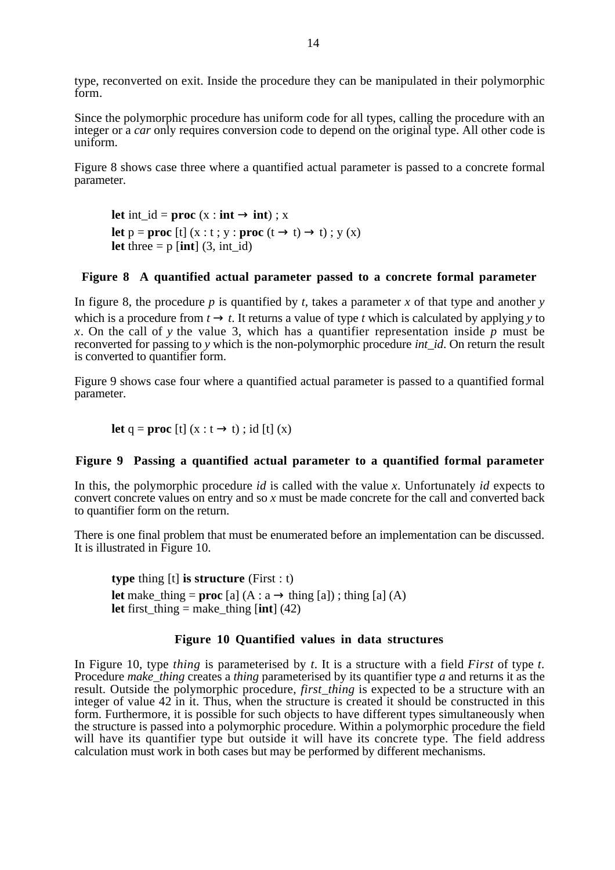type, reconverted on exit. Inside the procedure they can be manipulated in their polymorphic form.

Since the polymorphic procedure has uniform code for all types, calling the procedure with an integer or a *car* only requires conversion code to depend on the original type. All other code is uniform.

Figure 8 shows case three where a quantified actual parameter is passed to a concrete formal parameter.

**let**  $int_id = proc$  (x :  $int \rightarrow int$ ) ; x **let**  $p = \textbf{proc}$  [t] (x : t ; y :  $\textbf{proc}$  (t  $\rightarrow$  t)  $\rightarrow$  t) ; y (x) **let** three  $=$  p [**int**] (3, int id)

# **Figure 8 A quantified actual parameter passed to a concrete formal parameter**

In figure 8, the procedure *p* is quantified by *t*, takes a parameter *x* of that type and another *y* which is a procedure from  $t \to t$ . It returns a value of type *t* which is calculated by applying *y* to *x*. On the call of *y* the value 3, which has a quantifier representation inside *p* must be reconverted for passing to *y* which is the non-polymorphic procedure *int\_id*. On return the result is converted to quantifier form.

Figure 9 shows case four where a quantified actual parameter is passed to a quantified formal parameter.

**let**  $q = \textbf{proc} \left[t\right] (x : t \rightarrow t)$ ; id  $\left[t\right] (x)$ 

## **Figure 9 Passing a quantified actual parameter to a quantified formal parameter**

In this, the polymorphic procedure *id* is called with the value *x*. Unfortunately *id* expects to convert concrete values on entry and so *x* must be made concrete for the call and converted back to quantifier form on the return.

There is one final problem that must be enumerated before an implementation can be discussed. It is illustrated in Figure 10.

**type** thing [t] **is structure** (First : t) **let** make thing = **proc** [a]  $(A : a \rightarrow \text{thing } [a])$ ; thing [a]  $(A)$ **let** first thing  $=$  make thing  $[$ **int** $]$  (42)

## **Figure 10 Quantified values in data structures**

In Figure 10, type *thing* is parameterised by  $t$ . It is a structure with a field *First* of type  $t$ .<br>Procedure *make\_thing* creates a *thing* parameterised by its quantifier type  $a$  and returns it as the result. Outside the polymorphic procedure, *first thing* is expected to be a structure with an integer of value 42 in it. Thus, when the structure is created it should be constructed in this form. Furthermore, it is possible for such objects to have different types simultaneously when the structure is passed into a polymorphic procedure. Within a polymorphic procedure the field will have its quantifier type but outside it will have its concrete type. The field address calculation must work in both cases but may be performed by different mechanisms.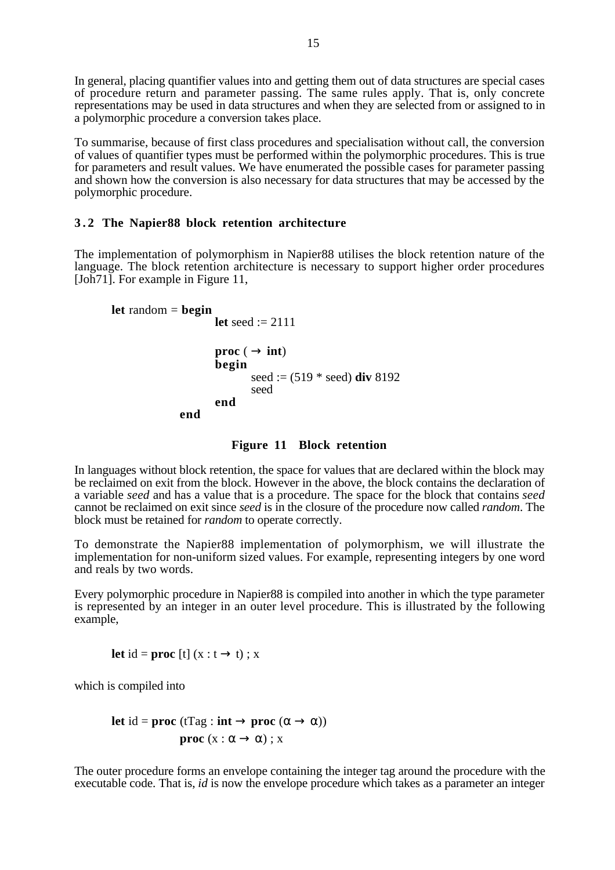In general, placing quantifier values into and getting them out of data structures are special cases of procedure return and parameter passing. The same rules apply. That is, only concrete representations may be used in data structures and when they are selected from or assigned to in a polymorphic procedure a conversion takes place.

To summarise, because of first class procedures and specialisation without call, the conversion of values of quantifier types must be performed within the polymorphic procedures. This is true for parameters and result values. We have enumerated the possible cases for parameter passing and shown how the conversion is also necessary for data structures that may be accessed by the polymorphic procedure.

# **3 . 2 The Napier88 block retention architecture**

The implementation of polymorphism in Napier88 utilises the block retention nature of the language. The block retention architecture is necessary to support higher order procedures [Joh<sub>71</sub>]. For example in Figure 11,

```
let random = begin
                     let seed := 2111
                     proc (\rightarrow int)
                     begin
                            seed := (519 * seed) div 8192
                            seed
                     end
              end
```
## **Figure 11 Block retention**

In languages without block retention, the space for values that are declared within the block may be reclaimed on exit from the block. However in the above, the block contains the declaration of a variable *seed* and has a value that is a procedure. The space for the block that contains *seed* cannot be reclaimed on exit since *seed* is in the closure of the procedure now called *random*. The block must be retained for *random* to operate correctly.

To demonstrate the Napier88 implementation of polymorphism, we will illustrate the implementation for non-uniform sized values. For example, representing integers by one word and reals by two words.

Every polymorphic procedure in Napier88 is compiled into another in which the type parameter is represented by an integer in an outer level procedure. This is illustrated by the following example,

**let** id = **proc** [t]  $(x : t \rightarrow t)$ ; x

which is compiled into

let id = proc (tTag : int 
$$
\rightarrow
$$
 proc ( $\alpha \rightarrow \alpha$ ))  
proc ( $x : \alpha \rightarrow \alpha$ ) ; x

The outer procedure forms an envelope containing the integer tag around the procedure with the executable code. That is, *id* is now the envelope procedure which takes as a parameter an integer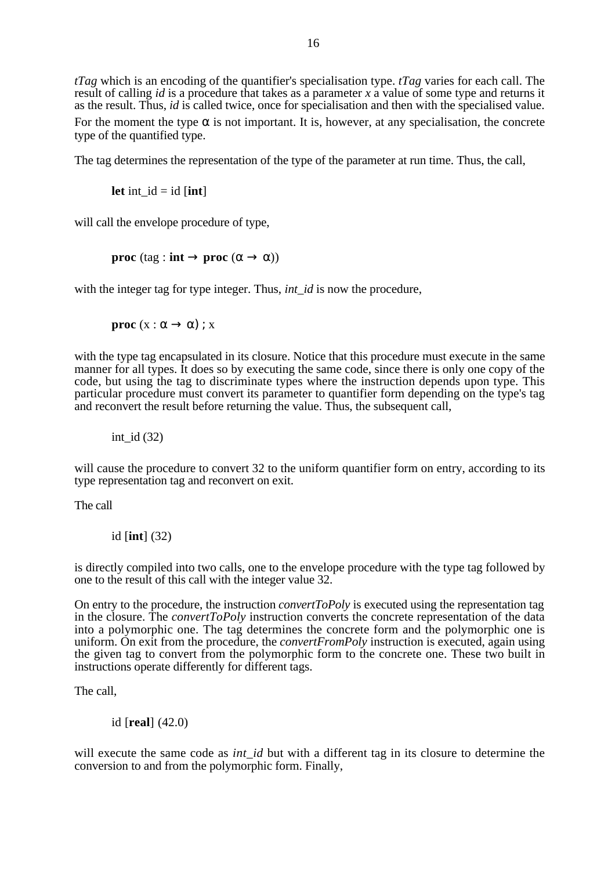*tTag* which is an encoding of the quantifier's specialisation type. *tTag* varies for each call. The result of calling *id* is a procedure that takes as a parameter *x* a value of some type and returns it as the result. Thus, *id* is called twice, once for specialisation and then with the specialised value.

For the moment the type  $\alpha$  is not important. It is, however, at any specialisation, the concrete type of the quantified type.

The tag determines the representation of the type of the parameter at run time. Thus, the call,

**let** int  $id = id$  [**int**]

will call the envelope procedure of type,

**proc** (tag : **int**  $\rightarrow$  **proc** ( $\alpha \rightarrow \alpha$ ))

with the integer tag for type integer. Thus, *int id* is now the procedure,

**proc**  $(x : \alpha \rightarrow \alpha)$ ; x

with the type tag encapsulated in its closure. Notice that this procedure must execute in the same manner for all types. It does so by executing the same code, since there is only one copy of the code, but using the tag to discriminate types where the instruction depends upon type. This particular procedure must convert its parameter to quantifier form depending on the type's tag and reconvert the result before returning the value. Thus, the subsequent call,

int id  $(32)$ 

will cause the procedure to convert 32 to the uniform quantifier form on entry, according to its type representation tag and reconvert on exit.

The call

id [**int**] (32)

is directly compiled into two calls, one to the envelope procedure with the type tag followed by one to the result of this call with the integer value 32.

On entry to the procedure, the instruction *convertToPoly* is executed using the representation tag in the closure. The *convertToPoly* instruction converts the concrete representation of the data into a polymorphic one. The tag determines the concrete form and the polymorphic one is uniform. On exit from the procedure, the *convertFromPoly* instruction is executed, again using the given tag to convert from the polymorphic form to the concrete one. These two built in instructions operate differently for different tags.

The call,

id [**real**] (42.0)

will execute the same code as *int id* but with a different tag in its closure to determine the conversion to and from the polymorphic form. Finally,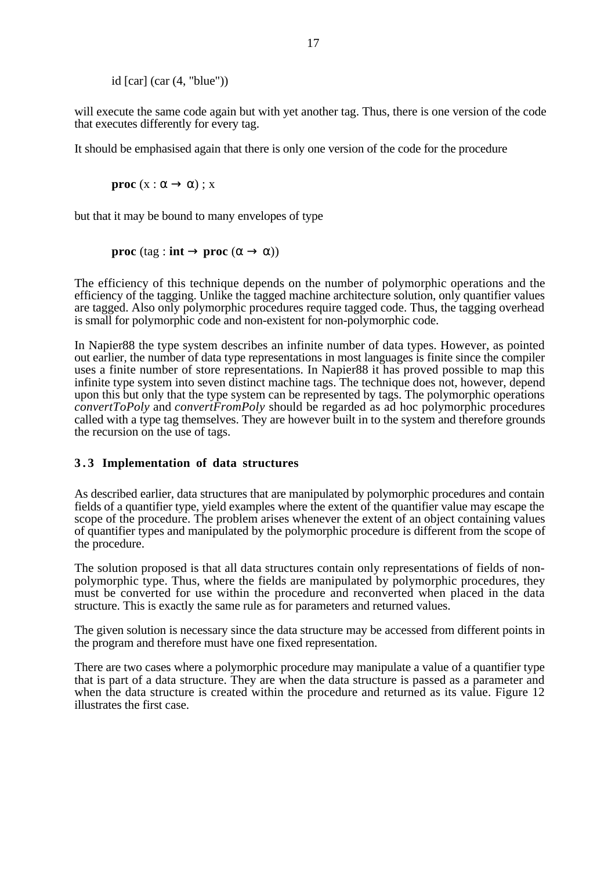id  $\lceil \operatorname{car} \rceil$  (car  $(4, \text{ "blue"))$ )

will execute the same code again but with yet another tag. Thus, there is one version of the code that executes differently for every tag.

It should be emphasised again that there is only one version of the code for the procedure

**proc**  $(x : \alpha \rightarrow \alpha)$ ; x

but that it may be bound to many envelopes of type

**proc** (tag : **int**  $\rightarrow$  **proc** ( $\alpha \rightarrow \alpha$ ))

The efficiency of this technique depends on the number of polymorphic operations and the efficiency of the tagging. Unlike the tagged machine architecture solution, only quantifier values are tagged. Also only polymorphic procedures require tagged code. Thus, the tagging overhead is small for polymorphic code and non-existent for non-polymorphic code.

In Napier88 the type system describes an infinite number of data types. However, as pointed out earlier, the number of data type representations in most languages is finite since the compiler uses a finite number of store representations. In Napier88 it has proved possible to map this infinite type system into seven distinct machine tags. The technique does not, however, depend upon this but only that the type system can be represented by tags. The polymorphic operations *convertToPoly* and *convertFromPoly* should be regarded as ad hoc polymorphic procedures called with a type tag themselves. They are however built in to the system and therefore grounds the recursion on the use of tags.

# **3 . 3 Implementation of data structures**

As described earlier, data structures that are manipulated by polymorphic procedures and contain fields of a quantifier type, yield examples where the extent of the quantifier value may escape the scope of the procedure. The problem arises whenever the extent of an object containing values of quantifier types and manipulated by the polymorphic procedure is different from the scope of the procedure.

The solution proposed is that all data structures contain only representations of fields of nonpolymorphic type. Thus, where the fields are manipulated by polymorphic procedures, they must be converted for use within the procedure and reconverted when placed in the data structure. This is exactly the same rule as for parameters and returned values.

The given solution is necessary since the data structure may be accessed from different points in the program and therefore must have one fixed representation.

There are two cases where a polymorphic procedure may manipulate a value of a quantifier type that is part of a data structure. They are when the data structure is passed as a parameter and when the data structure is created within the procedure and returned as its value. Figure 12 illustrates the first case.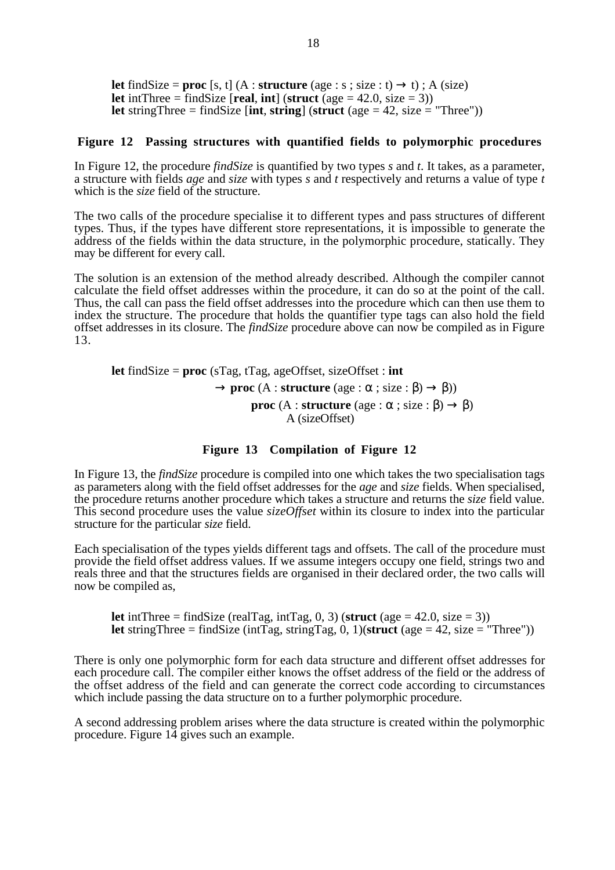**let** findSize = **proc** [s, t] (A : **structure** (age : s; size : t)  $\rightarrow$  t); A (size) **let** intThree = findSize [**real, int**] (**struct** (age = 42.0, size = 3)) **let** stringThree = findSize [**int**, **string**] (**struct** (age = 42, size = "Three"))

## **Figure 12 Passing structures with quantified fields to polymorphic procedures**

In Figure 12, the procedure *findSize* is quantified by two types *s* and *t*. It takes, as a parameter, a structure with fields *age* and *size* with types *s* and *t* respectively and returns a value of type *t* which is the *size* field of the structure.

The two calls of the procedure specialise it to different types and pass structures of different types. Thus, if the types have different store representations, it is impossible to generate the address of the fields within the data structure, in the polymorphic procedure, statically. They may be different for every call.

The solution is an extension of the method already described. Although the compiler cannot calculate the field offset addresses within the procedure, it can do so at the point of the call. Thus, the call can pass the field offset addresses into the procedure which can then use them to index the structure. The procedure that holds the quantifier type tags can also hold the field offset addresses in its closure. The *findSize* procedure above can now be compiled as in Figure 13.

**let** findSize = **proc** (sTag, tTag, ageOffset, sizeOffset : **int**  $\rightarrow$  **proc** (A : **structure** (age :  $\alpha$  ; size :  $\beta$ )  $\rightarrow$   $\beta$ )) **proc**  $(A : structure (age : \alpha : size : \beta) \rightarrow \beta)$ A (sizeOffset)

#### **Figure 13 Compilation of Figure 12**

In Figure 13, the *findSize* procedure is compiled into one which takes the two specialisation tags as parameters along with the field offset addresses for the *age* and *size* fields. When specialised, the procedure returns another procedure which takes a structure and returns the *size* field value. This second procedure uses the value *sizeOffset* within its closure to index into the particular structure for the particular *size* field.

Each specialisation of the types yields different tags and offsets. The call of the procedure must provide the field offset address values. If we assume integers occupy one field, strings two and reals three and that the structures fields are organised in their declared order, the two calls will now be compiled as,

**let** intThree = findSize (realTag, intTag, 0, 3) (**struct** (age = 42.0, size = 3)) **let** stringThree = findSize (intTag, stringTag, 0, 1)(struct (age = 42, size = "Three"))

There is only one polymorphic form for each data structure and different offset addresses for each procedure call. The compiler either knows the offset address of the field or the address of the offset address of the field and can generate the correct code according to circumstances which include passing the data structure on to a further polymorphic procedure.

A second addressing problem arises where the data structure is created within the polymorphic procedure. Figure 14 gives such an example.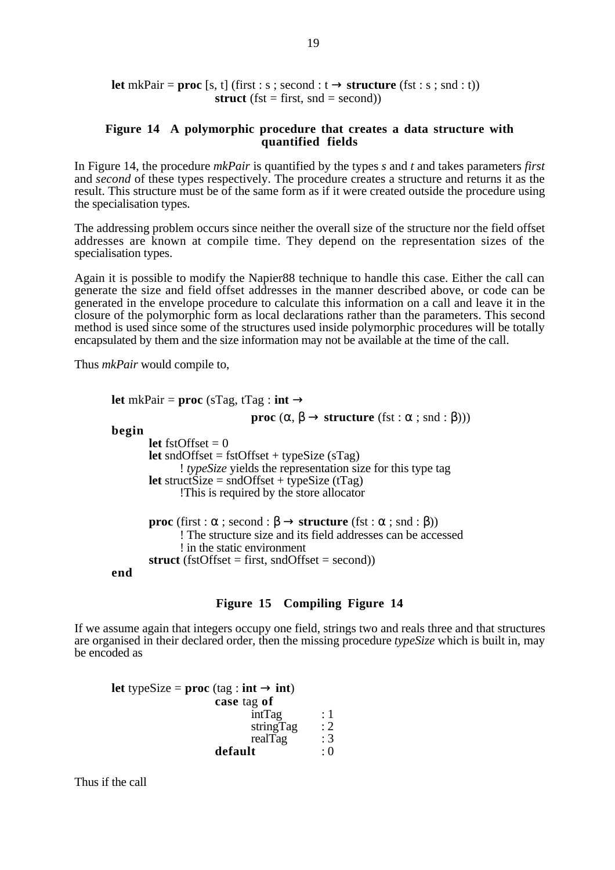**let** mkPair = **proc** [s, t] (first : s ; second :  $t \rightarrow$  **structure** (fst : s ; snd : t)) **struct** (fst = first,  $\text{snd} = \text{second}$ ))

## **Figure 14 A polymorphic procedure that creates a data structure with quantified fields**

In Figure 14, the procedure *mkPair* is quantified by the types *s* and *t* and takes parameters *first* and *second* of these types respectively. The procedure creates a structure and returns it as the result. This structure must be of the same form as if it were created outside the procedure using the specialisation types.

The addressing problem occurs since neither the overall size of the structure nor the field offset addresses are known at compile time. They depend on the representation sizes of the specialisation types.

Again it is possible to modify the Napier88 technique to handle this case. Either the call can generate the size and field offset addresses in the manner described above, or code can be generated in the envelope procedure to calculate this information on a call and leave it in the closure of the polymorphic form as local declarations rather than the parameters. This second method is used since some of the structures used inside polymorphic procedures will be totally encapsulated by them and the size information may not be available at the time of the call.

Thus *mkPair* would compile to,

```
let mkPair = proc (sTag, tTag : int \rightarrowproc (\alpha, \beta \rightarrow structure (fst : \alpha ; snd : \beta)))
begin
         let fstOffset = 0let sndOffset = fstOffset + typeSize (sTaq)! typeSize yields the representation size for this type tag
         let struct\overline{\text{Size}} = \text{sndOffset} + \text{typeSize} (tTag)
                 !This is required by the store allocator
         proc (first : \alpha; second : \beta \rightarrow structure (fst : \alpha; snd : \beta))
                 ! The structure size and its field addresses can be accessed
                 ! in the static environment
         struct (fstOffset = first, sndOffset = second))
end
```
## **Figure 15 Compiling Figure 14**

If we assume again that integers occupy one field, strings two and reals three and that structures are organised in their declared order, then the missing procedure *typeSize* which is built in, may be encoded as

**let** typeSize = **proc** (tag : **int**  $\rightarrow$  **int**) **case** tag **of**  $intTag$  : 1<br> $stringTag$  : 2 stringTag  $: 2$ <br>realTag  $: 3$ realTag :  $3$ <br>It : 0  $\bf{default}$ 

Thus if the call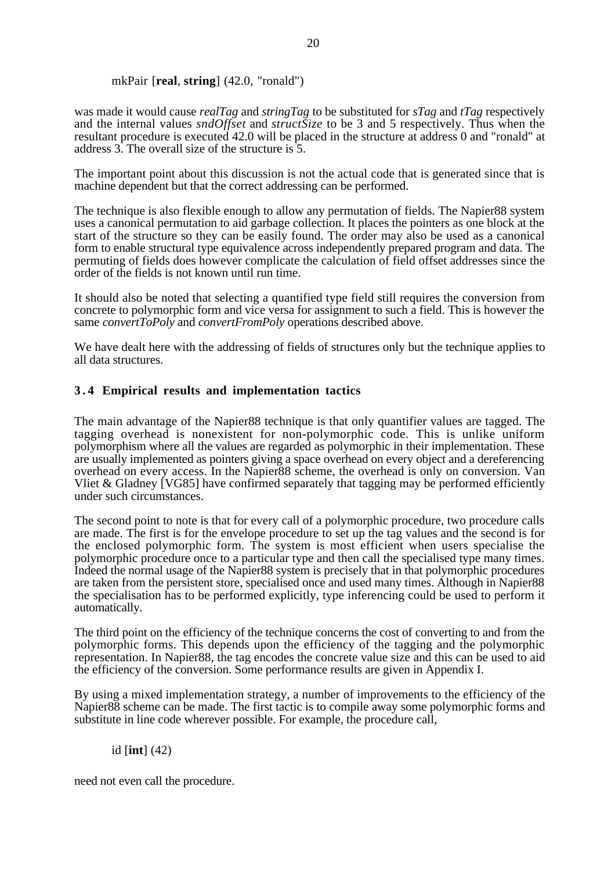# mkPair [**real**, **string**] (42.0, "ronald")

was made it would cause *realTag* and *stringTag* to be substituted for *sTag* and *tTag* respectively and the internal values *sndOffset* and *structSize* to be 3 and 5 respectively. Thus when the resultant procedure is executed 42.0 will be placed in the structure at address 0 and "ronald" at address 3. The overall size of the structure is 5.

The important point about this discussion is not the actual code that is generated since that is machine dependent but that the correct addressing can be performed.

The technique is also flexible enough to allow any permutation of fields. The Napier88 system uses a canonical permutation to aid garbage collection. It places the pointers as one block at the start of the structure so they can be easily found. The order may also be used as a canonical form to enable structural type equivalence across independently prepared program and data. The permuting of fields does however complicate the calculation of field offset addresses since the order of the fields is not known until run time.

It should also be noted that selecting a quantified type field still requires the conversion from concrete to polymorphic form and vice versa for assignment to such a field. This is however the same *convertToPoly* and *convertFromPoly* operations described above.

We have dealt here with the addressing of fields of structures only but the technique applies to all data structures.

# **3 . 4 Empirical results and implementation tactics**

The main advantage of the Napier88 technique is that only quantifier values are tagged. The tagging overhead is nonexistent for non-polymorphic code. This is unlike uniform polymorphism where all the values are regarded as polymorphic in their implementation. These are usually implemented as pointers giving a space overhead on every object and a dereferencing overhead on every access. In the Napier88 scheme, the overhead is only on conversion. Van Vliet & Gladney [VG85] have confirmed separately that tagging may be performed efficiently under such circumstances.

The second point to note is that for every call of a polymorphic procedure, two procedure calls are made. The first is for the envelope procedure to set up the tag values and the second is for the enclosed polymorphic form. The system is most efficient when users specialise the polymorphic procedure once to a particular type and then call the specialised type many times. Indeed the normal usage of the Napier88 system is precisely that in that polymorphic procedures are taken from the persistent store, specialised once and used many times. Although in Napier88 the specialisation has to be performed explicitly, type inferencing could be used to perform it automatically.

The third point on the efficiency of the technique concerns the cost of converting to and from the polymorphic forms. This depends upon the efficiency of the tagging and the polymorphic representation. In Napier88, the tag encodes the concrete value size and this can be used to aid the efficiency of the conversion. Some performance results are given in Appendix I.

By using a mixed implementation strategy, a number of improvements to the efficiency of the Napier88 scheme can be made. The first tactic is to compile away some polymorphic forms and substitute in line code wherever possible. For example, the procedure call,

# id [**int**] (42)

need not even call the procedure.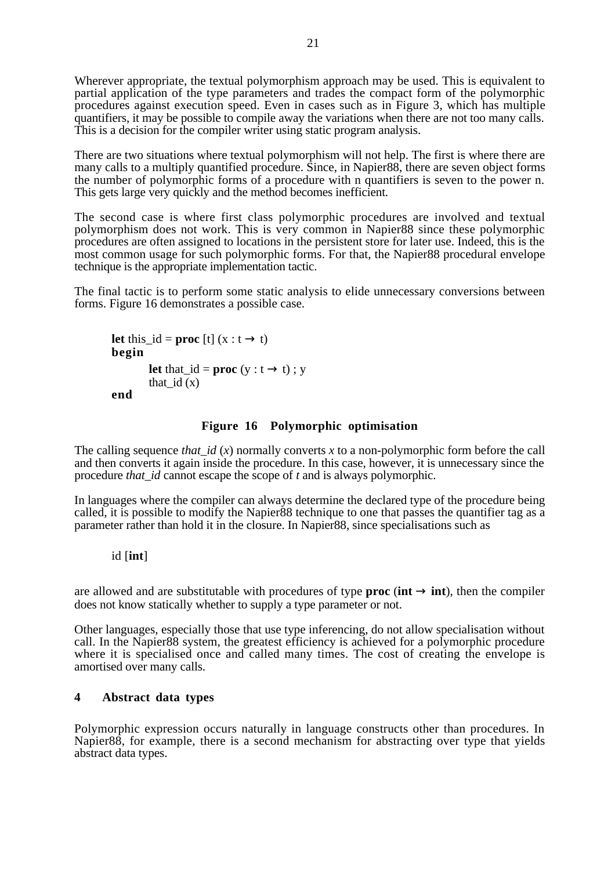Wherever appropriate, the textual polymorphism approach may be used. This is equivalent to partial application of the type parameters and trades the compact form of the polymorphic procedures against execution speed. Even in cases such as in Figure 3, which has multiple quantifiers, it may be possible to compile away the variations when there are not too many calls. This is a decision for the compiler writer using static program analysis.

There are two situations where textual polymorphism will not help. The first is where there are many calls to a multiply quantified procedure. Since, in Napier 88, there are seven object forms the number of polymorphic forms of a procedure with n quantifiers is seven to the power n. This gets large very quickly and the method becomes inefficient.

The second case is where first class polymorphic procedures are involved and textual polymorphism does not work. This is very common in Napier88 since these polymorphic procedures are often assigned to locations in the persistent store for later use. Indeed, this is the most common usage for such polymorphic forms. For that, the Napier88 procedural envelope technique is the appropriate implementation tactic.

The final tactic is to perform some static analysis to elide unnecessary conversions between forms. Figure 16 demonstrates a possible case.

```
let this_id = proc [t] (x : t \rightarrow t)begin
         let that id = \textbf{proc} (y : t \rightarrow t) ; y
          that id(x)end
```
# **Figure 16 Polymorphic optimisation**

The calling sequence *that*  $id(x)$  normally converts x to a non-polymorphic form before the call and then converts it again inside the procedure. In this case, however, it is unnecessary since the procedure *that\_id* cannot escape the scope of *t* and is always polymorphic.

In languages where the compiler can always determine the declared type of the procedure being called, it is possible to modify the Napier88 technique to one that passes the quantifier tag as a parameter rather than hold it in the closure. In Napier88, since specialisations such as

## id [**int**]

are allowed and are substitutable with procedures of type **proc** ( $int \rightarrow int$ ), then the compiler does not know statically whether to supply a type parameter or not.

Other languages, especially those that use type inferencing, do not allow specialisation without call. In the Napier88 system, the greatest efficiency is achieved for a polymorphic procedure where it is specialised once and called many times. The cost of creating the envelope is amortised over many calls.

# **4 Abstract data types**

Polymorphic expression occurs naturally in language constructs other than procedures. In Napier88, for example, there is a second mechanism for abstracting over type that yields abstract data types.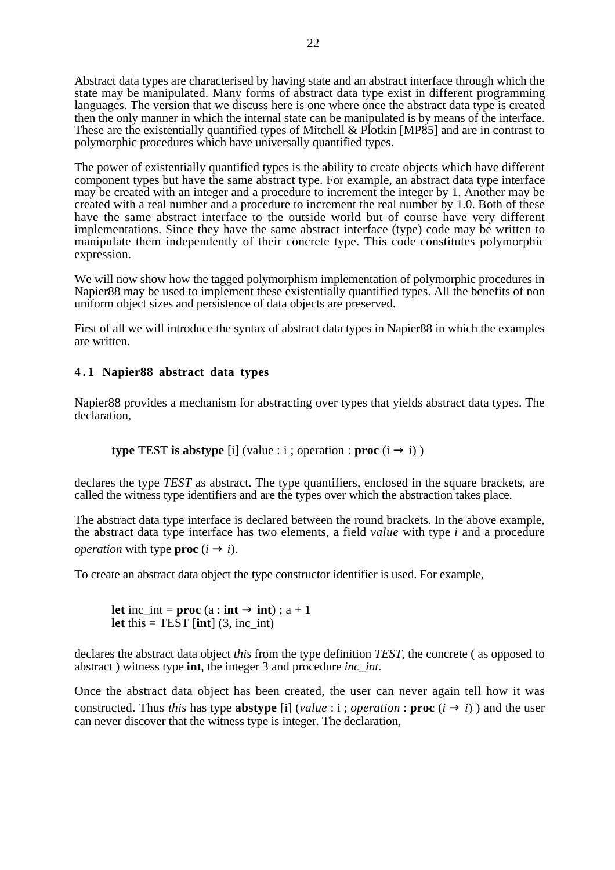Abstract data types are characterised by having state and an abstract interface through which the state may be manipulated. Many forms of abstract data type exist in different programming languages. The version that we discuss here is one where once the abstract data type is created then the only manner in which the internal state can be manipulated is by means of the interface. These are the existentially quantified types of Mitchell & Plotkin [MP85] and are in contrast to polymorphic procedures which have universally quantified types.

The power of existentially quantified types is the ability to create objects which have different component types but have the same abstract type. For example, an abstract data type interface may be created with an integer and a procedure to increment the integer by 1. Another may be created with a real number and a procedure to increment the real number by 1.0. Both of these have the same abstract interface to the outside world but of course have very different implementations. Since they have the same abstract interface (type) code may be written to manipulate them independently of their concrete type. This code constitutes polymorphic expression.

We will now show how the tagged polymorphism implementation of polymorphic procedures in Napier88 may be used to implement these existentially quantified types. All the benefits of non uniform object sizes and persistence of data objects are preserved.

First of all we will introduce the syntax of abstract data types in Napier88 in which the examples are written.

# **4 . 1 Napier88 abstract data types**

Napier88 provides a mechanism for abstracting over types that yields abstract data types. The declaration,

**type** TEST **is abstype** [i] (value : i ; operation : **proc**  $(i \rightarrow i)$ )

declares the type *TEST* as abstract. The type quantifiers, enclosed in the square brackets, are called the witness type identifiers and are the types over which the abstraction takes place.

The abstract data type interface is declared between the round brackets. In the above example, the abstract data type interface has two elements, a field *value* with type *i* and a procedure *operation* with type **proc**  $(i \rightarrow i)$ .

To create an abstract data object the type constructor identifier is used. For example,

**let** inc\_int = **proc** (a : **int**  $\rightarrow$  **int**) ; a + 1 **let** this  $=$  TEST [**int**] (3, inc\_int)

declares the abstract data object *this* from the type definition *TEST*, the concrete ( as opposed to abstract ) witness type **int**, the integer 3 and procedure *inc\_int*.

Once the abstract data object has been created, the user can never again tell how it was constructed. Thus *this* has type **abstype** [i] (*value* : i ; *operation* : **proc**  $(i \rightarrow i)$ ) and the user can never discover that the witness type is integer. The declaration,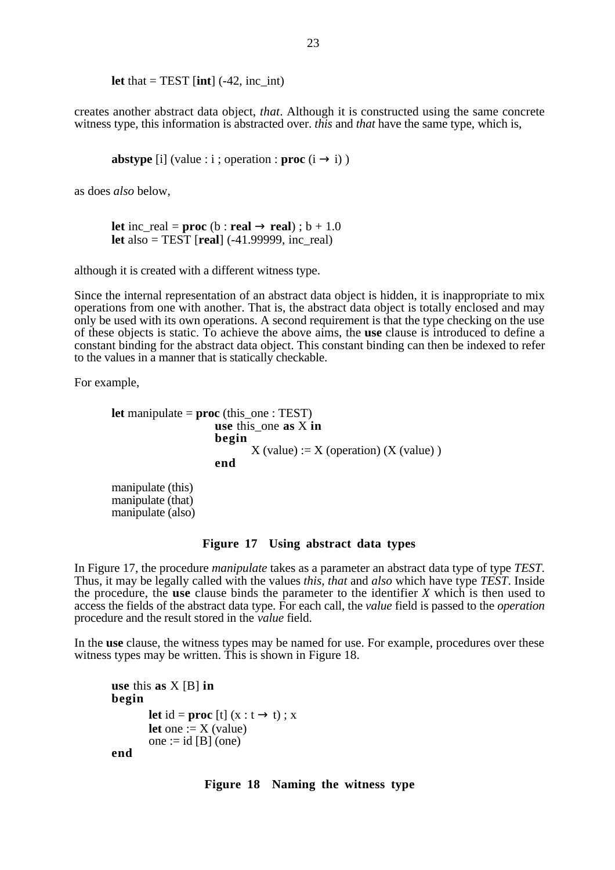**let** that  $=$  TEST [**int**] (-42, inc\_int)

creates another abstract data object, *that*. Although it is constructed using the same concrete witness type, this information is abstracted over. *this* and *that* have the same type, which is,

**abstype** [i] (value : i ; operation : **proc**  $(i \rightarrow i)$ )

as does *also* below,

**let** inc real = **proc** (b : **real**  $\rightarrow$  **real**) ; b + 1.0 **let** also = TEST [**real**] (-41.99999, inc\_real)

although it is created with a different witness type.

Since the internal representation of an abstract data object is hidden, it is inappropriate to mix operations from one with another. That is, the abstract data object is totally enclosed and may only be used with its own operations. A second requirement is that the type checking on the use of these objects is static. To achieve the above aims, the **use** clause is introduced to define a constant binding for the abstract data object. This constant binding can then be indexed to refer to the values in a manner that is statically checkable.

For example,

```
let manipulate = proc (this_one : TEST)
                   use this_one as X in
                    begin
                          X (value) := X (operation) (X (value))
                   end
```
manipulate (this) manipulate (that) manipulate (also)

#### **Figure 17 Using abstract data types**

In Figure 17, the procedure *manipulate* takes as a parameter an abstract data type of type *TEST*. Thus, it may be legally called with the values *this*, *that* and *also* which have type *TEST*. Inside the procedure, the **use** clause binds the parameter to the identifier *X* which is then used to access the fields of the abstract data type. For each call, the *value* field is passed to the *operation* procedure and the result stored in the *value* field.

In the **use** clause, the witness types may be named for use. For example, procedures over these witness types may be written. This is shown in Figure 18.

```
use this as X [B] in
begin
        let id = proc [t] (x : t \rightarrow t); x
        let one := X (value)
        one := id [B] (one)
end
```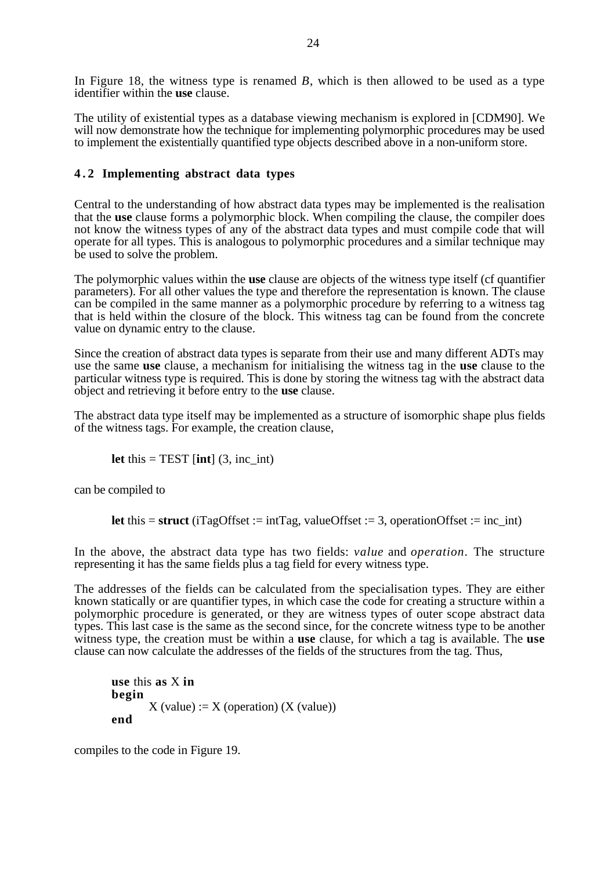In Figure 18, the witness type is renamed *B*, which is then allowed to be used as a type identifier within the **use** clause.

The utility of existential types as a database viewing mechanism is explored in [CDM90]. We will now demonstrate how the technique for implementing polymorphic procedures may be used to implement the existentially quantified type objects described above in a non-uniform store.

# **4 . 2 Implementing abstract data types**

Central to the understanding of how abstract data types may be implemented is the realisation that the **use** clause forms a polymorphic block. When compiling the clause, the compiler does not know the witness types of any of the abstract data types and must compile code that will operate for all types. This is analogous to polymorphic procedures and a similar technique may be used to solve the problem.

The polymorphic values within the **use** clause are objects of the witness type itself (cf quantifier parameters). For all other values the type and therefore the representation is known. The clause can be compiled in the same manner as a polymorphic procedure by referring to a witness tag that is held within the closure of the block. This witness tag can be found from the concrete value on dynamic entry to the clause.

Since the creation of abstract data types is separate from their use and many different ADTs may use the same **use** clause, a mechanism for initialising the witness tag in the **use** clause to the particular witness type is required. This is done by storing the witness tag with the abstract data object and retrieving it before entry to the **use** clause.

The abstract data type itself may be implemented as a structure of isomorphic shape plus fields of the witness tags. For example, the creation clause,

**let** this  $=$  TEST [**int**] (3, inc\_int)

can be compiled to

**let** this  $=$  **struct** (iTagOffset := intTag, valueOffset := 3, operationOffset := inc\_int)

In the above, the abstract data type has two fields: *value* and *operation*. The structure representing it has the same fields plus a tag field for every witness type.

The addresses of the fields can be calculated from the specialisation types. They are either known statically or are quantifier types, in which case the code for creating a structure within a polymorphic procedure is generated, or they are witness types of outer scope abstract data types. This last case is the same as the second since, for the concrete witness type to be another witness type, the creation must be within a **use** clause, for which a tag is available. The **use** clause can now calculate the addresses of the fields of the structures from the tag. Thus,

```
use this as X in
begin
       X (value) := X (operation) (X (value))
end
```
compiles to the code in Figure 19.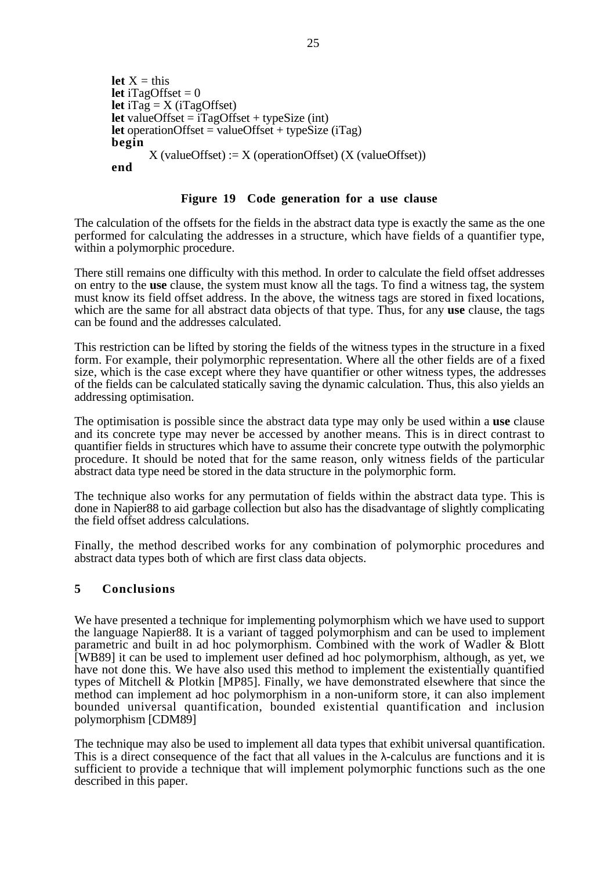```
let X = thislet iTagOffset = 0let iTag = X (iTagOffset)
let valueOffset = iTagOffset + typeSize(int)let operationOffset = valueOffset + typeSize (iTag)
begin
       X (valueOffset) := X (operationOffset) (X (valueOffset))
end
```
# **Figure 19 Code generation for a use clause**

The calculation of the offsets for the fields in the abstract data type is exactly the same as the one performed for calculating the addresses in a structure, which have fields of a quantifier type, within a polymorphic procedure.

There still remains one difficulty with this method. In order to calculate the field offset addresses on entry to the **use** clause, the system must know all the tags. To find a witness tag, the system must know its field offset address. In the above, the witness tags are stored in fixed locations, which are the same for all abstract data objects of that type. Thus, for any **use** clause, the tags can be found and the addresses calculated.

This restriction can be lifted by storing the fields of the witness types in the structure in a fixed form. For example, their polymorphic representation. Where all the other fields are of a fixed size, which is the case except where they have quantifier or other witness types, the addresses of the fields can be calculated statically saving the dynamic calculation. Thus, this also yields an addressing optimisation.

The optimisation is possible since the abstract data type may only be used within a **use** clause and its concrete type may never be accessed by another means. This is in direct contrast to quantifier fields in structures which have to assume their concrete type outwith the polymorphic procedure. It should be noted that for the same reason, only witness fields of the particular abstract data type need be stored in the data structure in the polymorphic form.

The technique also works for any permutation of fields within the abstract data type. This is done in Napier88 to aid garbage collection but also has the disadvantage of slightly complicating the field offset address calculations.

Finally, the method described works for any combination of polymorphic procedures and abstract data types both of which are first class data objects.

# **5 Conclusions**

We have presented a technique for implementing polymorphism which we have used to support the language Napier88. It is a variant of tagged polymorphism and can be used to implement parametric and built in ad hoc polymorphism. Combined with the work of Wadler & Blott [WB89] it can be used to implement user defined ad hoc polymorphism, although, as yet, we have not done this. We have also used this method to implement the existentially quantified types of Mitchell & Plotkin [MP85]. Finally, we have demonstrated elsewhere that since the method can implement ad hoc polymorphism in a non-uniform store, it can also implement bounded universal quantification, bounded existential quantification and inclusion polymorphism [CDM89]

The technique may also be used to implement all data types that exhibit universal quantification. This is a direct consequence of the fact that all values in the  $\lambda$ -calculus are functions and it is sufficient to provide a technique that will implement polymorphic functions such as the one described in this paper.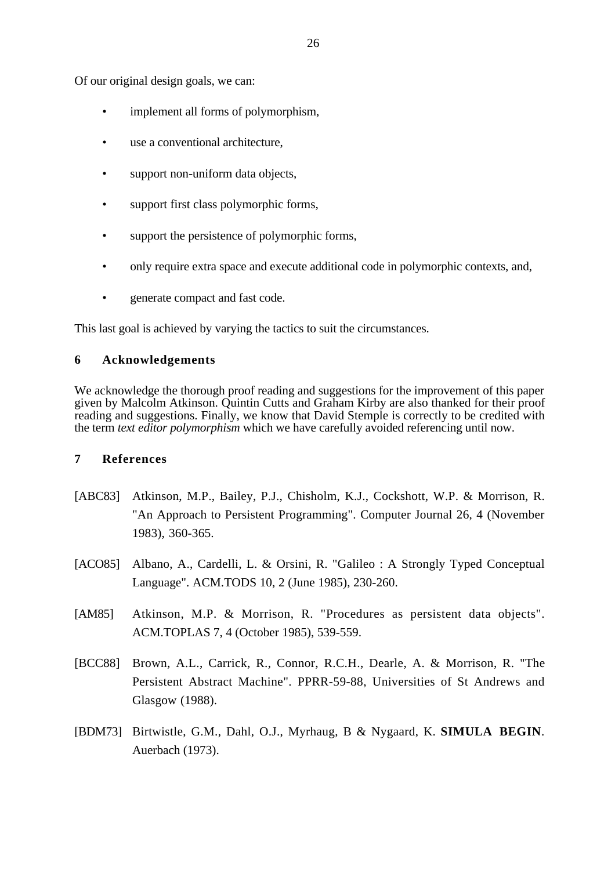Of our original design goals, we can:

- implement all forms of polymorphism.
- use a conventional architecture.
- support non-uniform data objects,
- support first class polymorphic forms,
- support the persistence of polymorphic forms,
- only require extra space and execute additional code in polymorphic contexts, and,
- generate compact and fast code.

This last goal is achieved by varying the tactics to suit the circumstances.

# **6 Acknowledgements**

We acknowledge the thorough proof reading and suggestions for the improvement of this paper given by Malcolm Atkinson. Quintin Cutts and Graham Kirby are also thanked for their proof reading and suggestions. Finally, we know that David Stemple is correctly to be credited with the term *text editor polymorphism* which we have carefully avoided referencing until now.

# **7 References**

- [ABC83] Atkinson, M.P., Bailey, P.J., Chisholm, K.J., Cockshott, W.P. & Morrison, R. "An Approach to Persistent Programming". Computer Journal 26, 4 (November 1983), 360-365.
- [ACO85] Albano, A., Cardelli, L. & Orsini, R. "Galileo : A Strongly Typed Conceptual Language". ACM.TODS 10, 2 (June 1985), 230-260.
- [AM85] Atkinson, M.P. & Morrison, R. "Procedures as persistent data objects". ACM.TOPLAS 7, 4 (October 1985), 539-559.
- [BCC88] Brown, A.L., Carrick, R., Connor, R.C.H., Dearle, A. & Morrison, R. "The Persistent Abstract Machine". PPRR-59-88, Universities of St Andrews and Glasgow (1988).
- [BDM73] Birtwistle, G.M., Dahl, O.J., Myrhaug, B & Nygaard, K. **SIMULA BEGIN**. Auerbach (1973).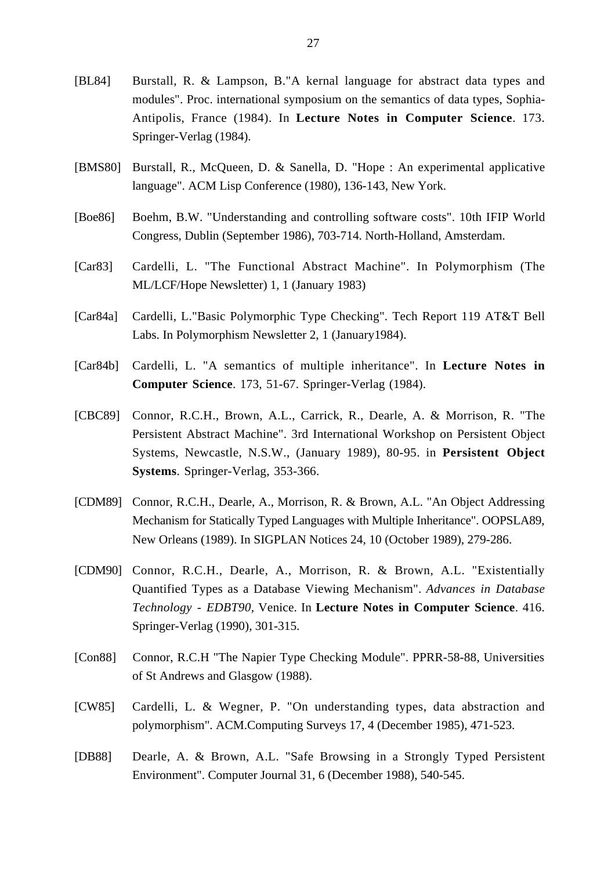- [BL84] Burstall, R. & Lampson, B."A kernal language for abstract data types and modules". Proc. international symposium on the semantics of data types, Sophia-Antipolis, France (1984). In **Lecture Notes in Computer Science**. 173. Springer-Verlag (1984).
- [BMS80] Burstall, R., McQueen, D. & Sanella, D. "Hope : An experimental applicative language". ACM Lisp Conference (1980), 136-143, New York.
- [Boe86] Boehm, B.W. "Understanding and controlling software costs". 10th IFIP World Congress, Dublin (September 1986), 703-714. North-Holland, Amsterdam.
- [Car83] Cardelli, L. "The Functional Abstract Machine". In Polymorphism (The ML/LCF/Hope Newsletter) 1, 1 (January 1983)
- [Car84a] Cardelli, L."Basic Polymorphic Type Checking". Tech Report 119 AT&T Bell Labs. In Polymorphism Newsletter 2, 1 (January1984).
- [Car84b] Cardelli, L. "A semantics of multiple inheritance". In **Lecture Notes in Computer Science**. 173, 51-67. Springer-Verlag (1984).
- [CBC89] Connor, R.C.H., Brown, A.L., Carrick, R., Dearle, A. & Morrison, R. "The Persistent Abstract Machine". 3rd International Workshop on Persistent Object Systems, Newcastle, N.S.W., (January 1989), 80-95. in **Persistent Object Systems**. Springer-Verlag, 353-366.
- [CDM89] Connor, R.C.H., Dearle, A., Morrison, R. & Brown, A.L. "An Object Addressing Mechanism for Statically Typed Languages with Multiple Inheritance". OOPSLA89, New Orleans (1989). In SIGPLAN Notices 24, 10 (October 1989), 279-286.
- [CDM90] Connor, R.C.H., Dearle, A., Morrison, R. & Brown, A.L. "Existentially Quantified Types as a Database Viewing Mechanism". *Advances in Database Technology - EDBT90,* Venice. In **Lecture Notes in Computer Science**. 416. Springer-Verlag (1990), 301-315.
- [Con88] Connor, R.C.H "The Napier Type Checking Module". PPRR-58-88, Universities of St Andrews and Glasgow (1988).
- [CW85] Cardelli, L. & Wegner, P. "On understanding types, data abstraction and polymorphism". ACM.Computing Surveys 17, 4 (December 1985), 471-523.
- [DB88] Dearle, A. & Brown, A.L. "Safe Browsing in a Strongly Typed Persistent Environment". Computer Journal 31, 6 (December 1988), 540-545.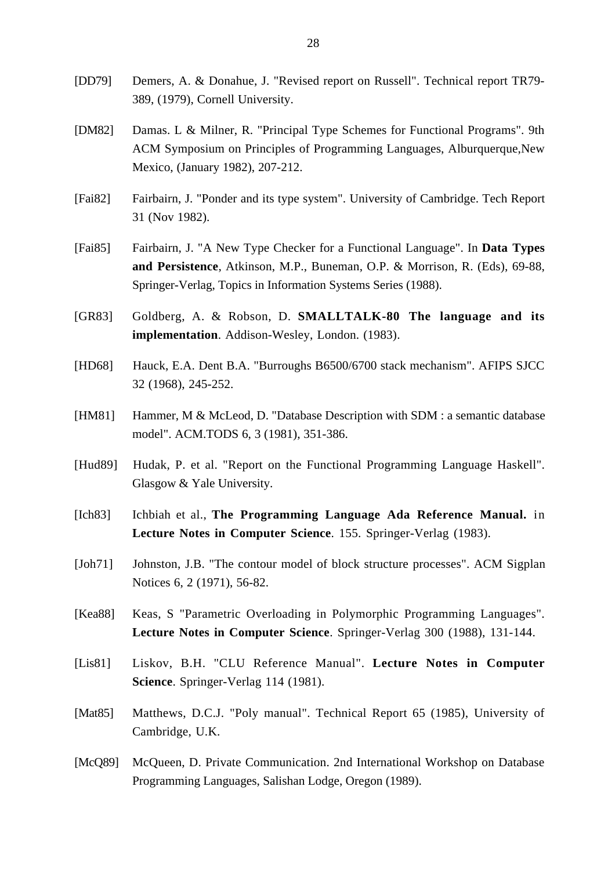- [DD79] Demers, A. & Donahue, J. "Revised report on Russell". Technical report TR79- 389, (1979), Cornell University.
- [DM82] Damas. L & Milner, R. "Principal Type Schemes for Functional Programs". 9th ACM Symposium on Principles of Programming Languages, Alburquerque,New Mexico, (January 1982), 207-212.
- [Fai82] Fairbairn, J. "Ponder and its type system". University of Cambridge. Tech Report 31 (Nov 1982).
- [Fai85] Fairbairn, J. "A New Type Checker for a Functional Language". In **Data Types and Persistence**, Atkinson, M.P., Buneman, O.P. & Morrison, R. (Eds), 69-88, Springer-Verlag, Topics in Information Systems Series (1988).
- [GR83] Goldberg, A. & Robson, D. **SMALLTALK-80 The language and its implementation**. Addison-Wesley, London. (1983).
- [HD68] Hauck, E.A. Dent B.A. "Burroughs B6500/6700 stack mechanism". AFIPS SJCC 32 (1968), 245-252.
- [HM81] Hammer, M & McLeod, D. "Database Description with SDM : a semantic database model". ACM.TODS 6, 3 (1981), 351-386.
- [Hud89] Hudak, P. et al. "Report on the Functional Programming Language Haskell". Glasgow & Yale University.
- [Ich83] Ichbiah et al., **The Programming Language Ada Reference Manual.** in **Lecture Notes in Computer Science**. 155. Springer-Verlag (1983).
- [Joh71] Johnston, J.B. "The contour model of block structure processes". ACM Sigplan Notices 6, 2 (1971), 56-82.
- [Kea88] Keas, S "Parametric Overloading in Polymorphic Programming Languages". **Lecture Notes in Computer Science**. Springer-Verlag 300 (1988), 131-144.
- [Lis81] Liskov, B.H. "CLU Reference Manual". **Lecture Notes in Computer Science**. Springer-Verlag 114 (1981).
- [Mat85] Matthews, D.C.J. "Poly manual". Technical Report 65 (1985), University of Cambridge, U.K.
- [McQ89] McQueen, D. Private Communication. 2nd International Workshop on Database Programming Languages, Salishan Lodge, Oregon (1989).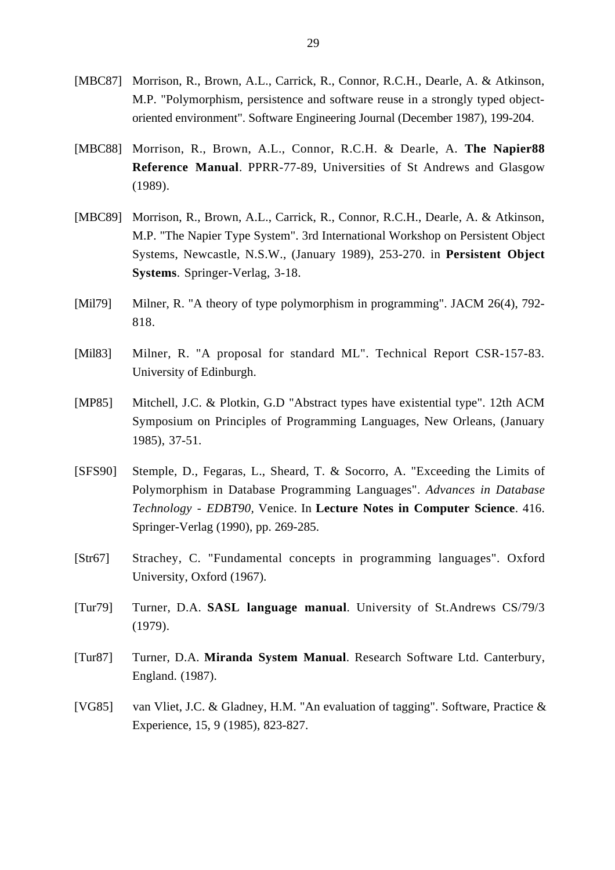- [MBC87] Morrison, R., Brown, A.L., Carrick, R., Connor, R.C.H., Dearle, A. & Atkinson, M.P. "Polymorphism, persistence and software reuse in a strongly typed objectoriented environment". Software Engineering Journal (December 1987), 199-204.
- [MBC88] Morrison, R., Brown, A.L., Connor, R.C.H. & Dearle, A. **The Napier88 Reference Manual**. PPRR-77-89, Universities of St Andrews and Glasgow (1989).
- [MBC89] Morrison, R., Brown, A.L., Carrick, R., Connor, R.C.H., Dearle, A. & Atkinson, M.P. "The Napier Type System". 3rd International Workshop on Persistent Object Systems, Newcastle, N.S.W., (January 1989), 253-270. in **Persistent Object Systems**. Springer-Verlag, 3-18.
- [Mil79] Milner, R. "A theory of type polymorphism in programming". JACM 26(4), 792-818.
- [Mil83] Milner, R. "A proposal for standard ML". Technical Report CSR-157-83. University of Edinburgh.
- [MP85] Mitchell, J.C. & Plotkin, G.D "Abstract types have existential type". 12th ACM Symposium on Principles of Programming Languages, New Orleans, (January 1985), 37-51.
- [SFS90] Stemple, D., Fegaras, L., Sheard, T. & Socorro, A. "Exceeding the Limits of Polymorphism in Database Programming Languages". *Advances in Database Technology - EDBT90,* Venice. In **Lecture Notes in Computer Science**. 416. Springer-Verlag (1990), pp. 269-285.
- [Str67] Strachey, C. "Fundamental concepts in programming languages". Oxford University, Oxford (1967).
- [Tur79] Turner, D.A. **SASL language manual**. University of St.Andrews CS/79/3 (1979).
- [Tur87] Turner, D.A. **Miranda System Manual**. Research Software Ltd. Canterbury, England. (1987).
- [VG85] van Vliet, J.C. & Gladney, H.M. "An evaluation of tagging". Software, Practice & Experience, 15, 9 (1985), 823-827.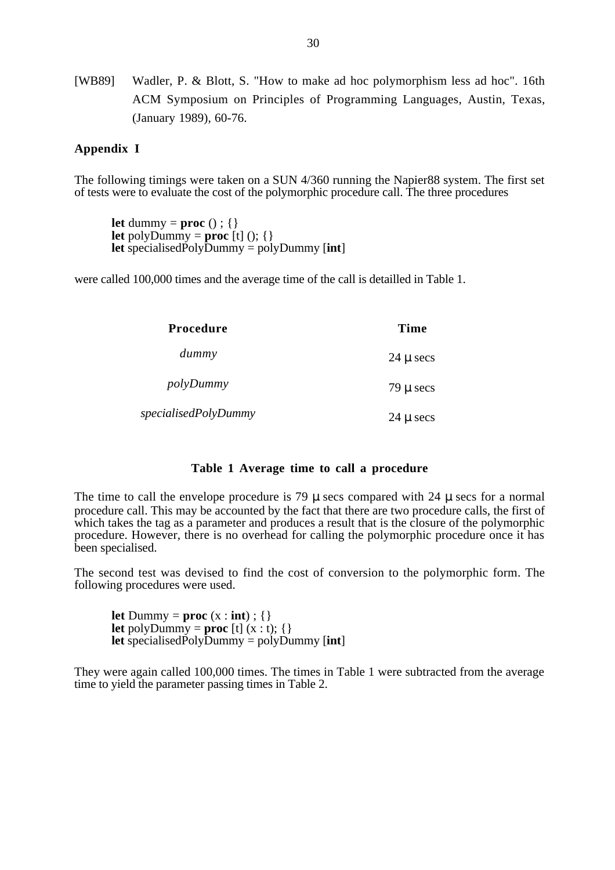[WB89] Wadler, P. & Blott, S. "How to make ad hoc polymorphism less ad hoc". 16th ACM Symposium on Principles of Programming Languages, Austin, Texas, (January 1989), 60-76.

# **Appendix I**

The following timings were taken on a SUN 4/360 running the Napier88 system. The first set of tests were to evaluate the cost of the polymorphic procedure call. The three procedures

**let** dummy = **proc**  $()$  :  $\{ \}$ **let** polyDummy = **proc**  $[t]$  ();  $\{\}$ **let** specialisedPolyDummy = polyDummy [**int**]

were called 100,000 times and the average time of the call is detailled in Table 1.

| <b>Procedure</b>     | Time                  |
|----------------------|-----------------------|
| dummy                | $24 \mu \text{ secs}$ |
| polyDummy            | $79 \mu$ secs         |
| specialisedPolyDummy | $24 \mu \sec s$       |

#### **Table 1 Average time to call a procedure**

The time to call the envelope procedure is 79  $\mu$  secs compared with 24  $\mu$  secs for a normal procedure call. This may be accounted by the fact that there are two procedure calls, the first of which takes the tag as a parameter and produces a result that is the closure of the polymorphic procedure. However, there is no overhead for calling the polymorphic procedure once it has been specialised.

The second test was devised to find the cost of conversion to the polymorphic form. The following procedures were used.

**let** Dummy = **proc**  $(x : \textbf{int})$  ;  $\{\}$ **let** polyDummy = **proc** [t]  $(x : t)$ ; {} **let** specialisedPolyDummy = polyDummy  $[int]$ 

They were again called 100,000 times. The times in Table 1 were subtracted from the average time to yield the parameter passing times in Table 2.